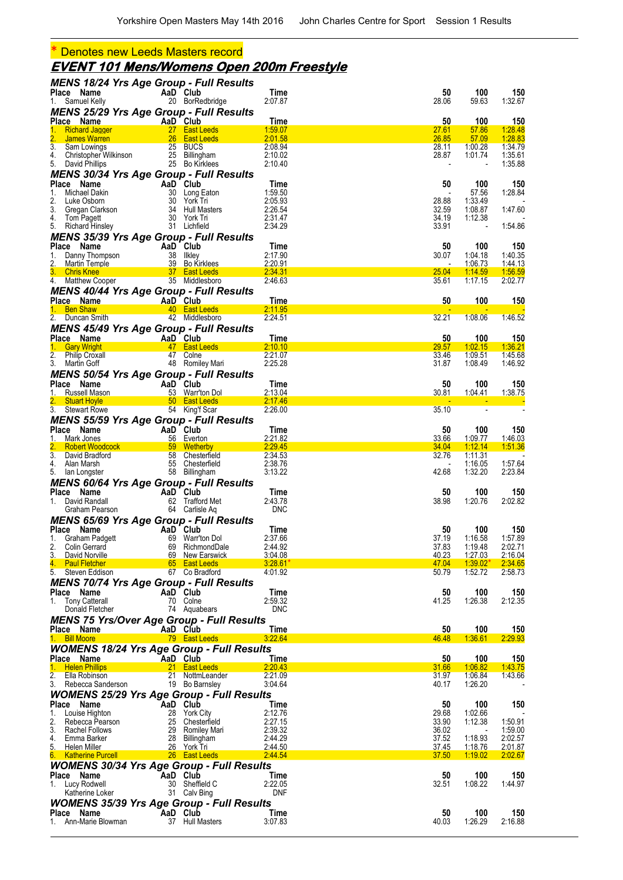## \* Denotes new Leeds Masters record

# **EVENT 101 Mens/Womens Open 200m Freestyle**

| <b>MENS 18/24 Yrs Age Group - Full Results</b>                                                                                                                                                                                    |                                                                                                            |                                    |                       |                |                                     |                    |
|-----------------------------------------------------------------------------------------------------------------------------------------------------------------------------------------------------------------------------------|------------------------------------------------------------------------------------------------------------|------------------------------------|-----------------------|----------------|-------------------------------------|--------------------|
| Place Name<br>1. Samuel Kelly                                                                                                                                                                                                     |                                                                                                            | AaD Club<br>20 BorRedbridge        | Time<br>2:07.87       | 50<br>28.06    | 100<br>59.63                        | 150<br>1:32.67     |
| <b>MENS 25/29 Yrs Age Group - Full Results</b>                                                                                                                                                                                    |                                                                                                            |                                    |                       |                |                                     |                    |
| Place Name                                                                                                                                                                                                                        |                                                                                                            |                                    | Time                  | 50             | 100                                 | 150                |
| ce Name<br>Richard Jagger<br>James Warren 27 East Leeds<br>James Warren 26 East Leeds<br>1.                                                                                                                                       |                                                                                                            |                                    | 1:59.07               | 27.61          | 57.86                               | <u>1:28.48</u>     |
| $\overline{2}$ .                                                                                                                                                                                                                  |                                                                                                            |                                    | 2:01.58               | 26.85          | 57.09                               | 1:28.83            |
| 3 <sub>1</sub><br>Sam Lowings                                                                                                                                                                                                     | 25 BUCS                                                                                                    |                                    | 2:08.94               | 28.11<br>28.87 | 1:00.28                             | 1:34.79<br>1:35.61 |
| Christopher Wilkinson 25 Billingham<br>David Phillips 25 Bo Kirklees<br>4.<br>5. David Phillips                                                                                                                                   |                                                                                                            | 25 Bo Kirklees                     | 2:10.02<br>2:10.40    |                | 1:01.74<br>$\overline{\phantom{a}}$ | 1:35.88            |
| <b>MENS 30/34 Yrs Age Group - Full Results</b>                                                                                                                                                                                    |                                                                                                            |                                    |                       |                |                                     |                    |
| Place Name                                                                                                                                                                                                                        | AaD Club<br>30 Long E<br>30 Vork T                                                                         |                                    | Time                  | 50             | 100                                 | 150                |
| 1.<br>Michael Dakin                                                                                                                                                                                                               |                                                                                                            | 30 Long Eaton                      | 1:59.50               |                | 57.56                               | 1:28.84            |
| 2.<br>Luke Osborn                                                                                                                                                                                                                 |                                                                                                            | 30 York Tri                        | 2:05.93               | 28.88          | 1:33.49                             |                    |
| Eans Second<br>Gregan Clarkson<br>3.<br>4.<br>Tom Pagett                                                                                                                                                                          |                                                                                                            | 34 Hull Masters<br>30 York Tri     | 2:26.54<br>2:31.47    | 32.59<br>34.19 | 1:08.87<br>1:12.38                  | 1:47.60            |
| 5. Richard Hinsley                                                                                                                                                                                                                |                                                                                                            | 31 Lichfield                       | 2:34.29               | 33.91          | $\overline{\phantom{a}}$            | 1:54.86            |
| MENS 35/39 Yrs Age Group - Full Results                                                                                                                                                                                           |                                                                                                            |                                    |                       |                |                                     |                    |
| Place Name                                                                                                                                                                                                                        | $\begin{array}{cc}\n & \text{AaD}^{\text{T}} \text{Club} \\  & \text{38} \\  & \text{IIklev}\n\end{array}$ |                                    | Time                  | 50             | 100                                 | 150                |
|                                                                                                                                                                                                                                   |                                                                                                            |                                    | 2:17.90               | 30.07          | 1:04.18                             | 1:40.35            |
|                                                                                                                                                                                                                                   |                                                                                                            |                                    | 2:20.91               |                | 1:06.73                             | 1:44.13<br>1:56.59 |
| 1. Danny Thompson and the 188 and 189 and 189 and 189 and 189 and 189 and 189 and 189 and 189 and 189 and 189<br>1. Chris Knee and 189 and 189 and 189 and 189 and 189 and 189 and 189 and 189 and 189 and 189 and 189 and 18<br> |                                                                                                            |                                    | 2:34.31<br>2:46.63    | 25.04<br>35.61 | 1:14.59<br>1:17.15                  | 2:02.77            |
| <b>MENS 40/44 Yrs Age Group - Full Results</b>                                                                                                                                                                                    |                                                                                                            |                                    |                       |                |                                     |                    |
| Place Name                                                                                                                                                                                                                        | <b>Example 2</b> AaD Club                                                                                  |                                    | Time                  | 50             | 100                                 | <b>150</b>         |
|                                                                                                                                                                                                                                   |                                                                                                            |                                    | 2:11.95               |                |                                     |                    |
| 2. Duncan Smith                                                                                                                                                                                                                   |                                                                                                            | 42 Middlesboro                     | 2:24.51               | 32.21          | 1:08.06                             | 1:46.52            |
| <b>MENS 45/49 Yrs Age Group - Full Results</b>                                                                                                                                                                                    |                                                                                                            |                                    |                       |                |                                     |                    |
| Place Name                                                                                                                                                                                                                        | AaD Club                                                                                                   |                                    | Time                  | 50             | 100                                 | 150                |
| 1. Gary Wright <b>Carry Act of the Carry Wright 47</b> East Leeds <b>Carry Wright</b><br>2. Philip Croxall                                                                                                                        |                                                                                                            | 47 Colne                           | 2:10.10<br>2:21.07    | 29.57<br>33.46 | 1:02.15<br>1:09.51                  | 1:36.21<br>1:45.68 |
| 3. Martin Goff                                                                                                                                                                                                                    |                                                                                                            | 48 Romiley Mari                    | 2:25.28               | 31.87          | 1:08.49                             | 1:46.92            |
| <b>MENS 50/54 Yrs Age Group - Full Results</b>                                                                                                                                                                                    |                                                                                                            |                                    |                       |                |                                     |                    |
| Place Name                                                                                                                                                                                                                        |                                                                                                            | AaD Club                           | Time                  | 50             | 100                                 | 150                |
| 1.<br>Russell Mason                                                                                                                                                                                                               |                                                                                                            | 53 Warr'ton Dol                    | 2:13.04               | 30.81          | 1:04.41                             | 1:38.75            |
| 2. Stuart Hoyle<br>3. Stewart Rowe<br>3. Stewart Rowe<br>54 King'f Scar                                                                                                                                                           |                                                                                                            |                                    | 2:17.46               |                |                                     |                    |
|                                                                                                                                                                                                                                   |                                                                                                            |                                    | 2:26.00               | 35.10          | $\overline{\phantom{a}}$            |                    |
| <b>MENS 55/59 Yrs Age Group - Full Results</b><br>Place Name                                                                                                                                                                      |                                                                                                            |                                    |                       |                |                                     |                    |
| 1.<br>Mark Jones                                                                                                                                                                                                                  | AaD Club<br>Fe Everte                                                                                      | 56 Everton                         | Time<br>2:21.82       | 50<br>33.66    | 100<br><u>1:09.77</u>               | 150<br>1:46.03     |
|                                                                                                                                                                                                                                   |                                                                                                            |                                    | 2:29.45               | 34.04          | 1:12.14                             | 1.51.36            |
| 3. David Bradford                                                                                                                                                                                                                 |                                                                                                            |                                    | 2:34.53               | 32.76          | 1:11.31                             |                    |
| 4. Alan Marsh                                                                                                                                                                                                                     |                                                                                                            | 55 Chesterfield                    | 2:38.76               |                | 1:16.05                             | 1:57.64            |
| 5. Ian Longster                                                                                                                                                                                                                   |                                                                                                            | 58 Billingham                      | 3:13.22               | 42.68          | 1:32.20                             | 2:23.84            |
| <b>MENS 60/64 Yrs Age Group - Full Results</b><br>Place Name                                                                                                                                                                      |                                                                                                            | AaD Club                           | Time                  | 50             | 100                                 | 150                |
| 1. David Randall                                                                                                                                                                                                                  | $\mathcal{L}(\mathcal{L})$                                                                                 | 62 Trafford Met                    | 2:43.78               | 38.98          | 1:20.76                             | 2:02.82            |
| Graham Pearson                                                                                                                                                                                                                    |                                                                                                            | 64 Carlisle Aq                     | <b>DNC</b>            |                |                                     |                    |
| <b>MENS 65/69 Yrs Age Group - Full Results</b>                                                                                                                                                                                    |                                                                                                            |                                    |                       |                |                                     |                    |
| Place Name                                                                                                                                                                                                                        | AaD Club                                                                                                   |                                    | Time                  | 50             | 100                                 | 150                |
| 1.<br>Graham Padgett                                                                                                                                                                                                              |                                                                                                            | 69 Warr'ton Dol                    | 2:37.66               | 37.19          | 1:16.58                             | 1:57.89            |
| 2.<br>Colin Gerrard<br>3.<br>David Norville                                                                                                                                                                                       |                                                                                                            | 69 RichmondDale<br>69 New Earswick | 2.44.92<br>3:04.08    | 37.83<br>40.23 | 1:19.48<br>1:27.03                  | 2:02.71<br>2:16.04 |
| 4. Paul Fletcher                                                                                                                                                                                                                  |                                                                                                            | 65 East Leeds                      | $3:28.61*$            | 47.04          | 1:39.02"                            | 2:34.65            |
| 5. Steven Eddison                                                                                                                                                                                                                 |                                                                                                            | 67 Co Bradford                     | 4:01.92               | 50.79          | 1:52.72                             | 2:58.73            |
| <b>MENS 70/74 Yrs Age Group - Full Results</b>                                                                                                                                                                                    |                                                                                                            |                                    |                       |                |                                     |                    |
| Place Name                                                                                                                                                                                                                        |                                                                                                            | AaD Club                           | Time                  | 50             | 100                                 | 150                |
| 1. Tony Catterall                                                                                                                                                                                                                 |                                                                                                            | 70 Colne<br>74 Aquabears           | 2:59.32<br><b>DNC</b> | 41.25          | 1:26.38                             | 2:12.35            |
| Donald Fletcher<br><b>MENS 75 Yrs/Over Age Group - Full Results</b>                                                                                                                                                               |                                                                                                            |                                    |                       |                |                                     |                    |
| Place Name                                                                                                                                                                                                                        |                                                                                                            | AaD Club                           | Time                  | 50             | 100                                 | 150                |
| <b>Bill Moore</b><br>$1 -$                                                                                                                                                                                                        |                                                                                                            | 79 East Leeds                      | 3:22.64               | 46.48          | 1:36.61                             | 2:29.93            |
| <b>WOMENS 18/24 Yrs Age Group - Full Results</b>                                                                                                                                                                                  |                                                                                                            |                                    |                       |                |                                     |                    |
| Place Name                                                                                                                                                                                                                        |                                                                                                            | AaD Club                           | Time                  | 50             | 100                                 | 150                |
| 1. Helen Phillips                                                                                                                                                                                                                 |                                                                                                            | 21 East Leeds                      | 2:20.43               | 31.66          | 1:06.82                             | 1.43.75            |
| 2.<br>Ella Robinson                                                                                                                                                                                                               | 21                                                                                                         | NottmLeander                       | 2:21.09               | 31.97          | 1:06.84                             | 1:43.66            |
| 3.<br>Rebecca Sanderson                                                                                                                                                                                                           |                                                                                                            | 19 Bo Barnsley                     | 3:04.64               | 40.17          | 1:26.20                             |                    |
| <b>WOMENS 25/29 Yrs Age Group - Full Results</b><br>Place Name                                                                                                                                                                    | AaD Club                                                                                                   |                                    | Time                  | 50             | 100                                 | 150                |
| 1.<br>Louise Highton                                                                                                                                                                                                              | 28                                                                                                         | York City                          | 2:12.76               | 29.68          | 1:02.66                             |                    |
| 2.<br>Rebecca Pearson                                                                                                                                                                                                             | 25                                                                                                         | Chesterfield                       | 2:27.15               | 33.90          | 1:12.38                             | 1:50.91            |
| 3.<br>Rachel Follows                                                                                                                                                                                                              |                                                                                                            | 29 Romiley Mari                    | 2:39.32               | 36.02          |                                     | 1:59.00            |
| 4.<br>Emma Barker                                                                                                                                                                                                                 | 28                                                                                                         | Billingham                         | 2:44.29               | 37.52          | 1:18.93                             | 2:02.57            |
| 5.<br>Helen Miller<br>6. Katherine Purcell                                                                                                                                                                                        |                                                                                                            | 26 York Tri<br>26 East Leeds       | 2:44.50<br>2:44.54    | 37.45<br>37.50 | <u>1:18.76</u><br>1:19.02           | 2:01.87<br>2:02.67 |
| <b>WOMENS 30/34 Yrs Age Group - Full Results</b>                                                                                                                                                                                  |                                                                                                            |                                    |                       |                |                                     |                    |
| Place Name                                                                                                                                                                                                                        |                                                                                                            | AaD Club                           | Time                  | 50             | 100                                 | 150                |
| 1. Lucy Rodwell                                                                                                                                                                                                                   |                                                                                                            | 30 Sheffield C                     | 2:22.05               | 32.51          | 1:08.22                             | 1:44.97            |
| Katherine Loker                                                                                                                                                                                                                   |                                                                                                            | 31 Calv Bing                       | DNF                   |                |                                     |                    |
| <b>WOMENS 35/39 Yrs Age Group - Full Results</b>                                                                                                                                                                                  |                                                                                                            |                                    |                       |                |                                     |                    |
| Place Name                                                                                                                                                                                                                        |                                                                                                            | AaD Club                           | Time                  | 50             | 100                                 | 150                |
| Ann-Marie Blowman<br>1.                                                                                                                                                                                                           |                                                                                                            | 37 Hull Masters                    | 3:07.83               | 40.03          | 1:26.29                             | 2:16.88            |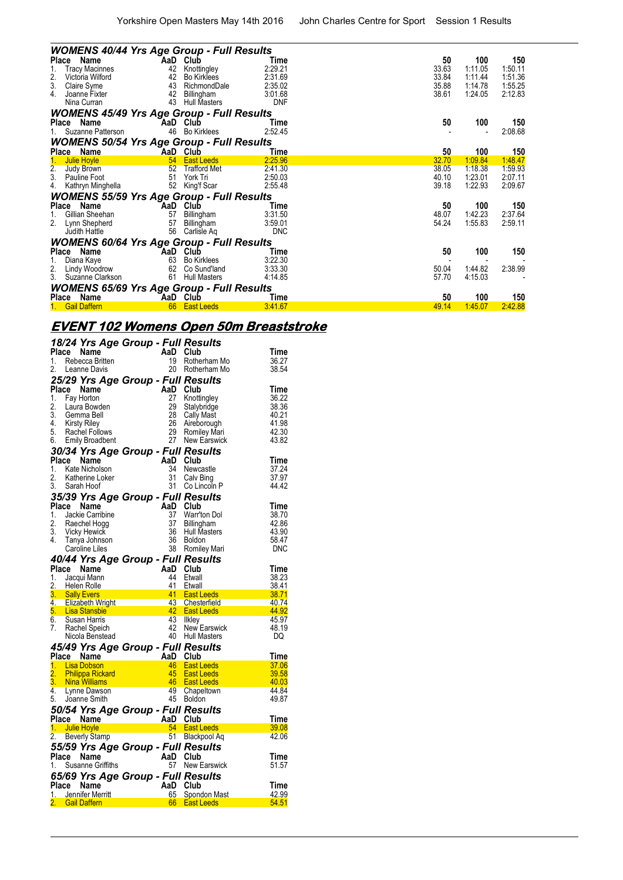|                               | <b>WOMENS 40/44 Yrs Age Group - Full Results</b>                                  |                             |                                                                         |                                                  |                                        |                                                 |                                                 |
|-------------------------------|-----------------------------------------------------------------------------------|-----------------------------|-------------------------------------------------------------------------|--------------------------------------------------|----------------------------------------|-------------------------------------------------|-------------------------------------------------|
| Place<br>1.<br>2.<br>3.<br>4. | Name<br><b>Tracy Macinnes</b><br>Victoria Wilford<br>Claire Syme<br>Joanne Fixter | AaD<br>42<br>42<br>43<br>42 | Club<br>Knottingley<br><b>Bo Kirklees</b><br>RichmondDale<br>Billingham | Time<br>2:29.21<br>2:31.69<br>2:35.02<br>3:01.68 | 50<br>33.63<br>33.84<br>35.88<br>38.61 | 100<br>1:11.05<br>1:11.44<br>1:14.78<br>1:24.05 | 150<br>1:50.11<br>1:51.36<br>1:55.25<br>2:12.83 |
|                               | Nina Curran                                                                       | 43                          | <b>Hull Masters</b>                                                     | <b>DNF</b>                                       |                                        |                                                 |                                                 |
| Place                         | <b>WOMENS 45/49 Yrs Age Group - Full Results</b><br>Name<br>Suzanne Patterson     | AaD<br>46                   | Club<br><b>Bo Kirklees</b>                                              | Time<br>2:52.45                                  | 50                                     | 100                                             | 150<br>2:08.68                                  |
|                               | <b>WOMENS 50/54 Yrs Age Group - Full Results</b>                                  |                             |                                                                         |                                                  |                                        |                                                 |                                                 |
|                               | Place Name                                                                        | AaD                         | Club                                                                    | Time                                             | 50                                     | 100                                             | 150                                             |
| 1.<br>$rac{2}{3}$<br>4.       | Julie Hoyle<br>Judy Brown<br>Pauline Foot<br>Kathryn Minghella                    | 54<br>52<br>51<br>52        | <b>East Leeds</b><br><b>Trafford Met</b><br>York Tri<br>King'f Scar     | 2:25.96<br>2:41.30<br>2:50.03<br>2:55.48         | 32.70<br>38.05<br>40.10<br>39.18       | 1:09.84<br>1:18.38<br>1:23.01<br>1:22.93        | 1:48.47<br>1:59.93<br>2:07.11<br>2:09.67        |
|                               | <b>WOMENS 55/59 Yrs Age Group - Full Results</b>                                  |                             |                                                                         |                                                  |                                        |                                                 |                                                 |
| Place<br>1.<br>2.             | Name<br>Gillian Sheehan<br>Lynn Shepherd<br>Judith Hattle                         | 57<br>57<br>56              | AaD Club<br>Billingham<br>Billingham<br>Carlisle Aq                     | Time<br>3:31.50<br>3:59.01<br><b>DNC</b>         | 50<br>48.07<br>54.24                   | 100<br>1:42.23<br>1:55.83                       | 150<br>2:37.64<br>2:59.11                       |
|                               | <b>WOMENS 60/64 Yrs Age Group - Full Results</b>                                  |                             |                                                                         |                                                  |                                        |                                                 |                                                 |
| Place<br>1.                   | Name<br>Diana Kaye                                                                | AaD<br>63                   | Club<br><b>Bo Kirklees</b>                                              | Time<br>3:22.30                                  | 50                                     | 100                                             | 150                                             |
| $\frac{2}{3}$                 | Lindy Woodrow<br>Suzanne Clarkson                                                 | 62<br>61                    | Co Sund'land<br><b>Hull Masters</b>                                     | 3:33.30<br>4:14.85                               | 50.04<br>57.70                         | 1:44.82<br>4:15.03                              | 2:38.99                                         |
|                               | <b>WOMENS 65/69 Yrs Age Group - Full Results</b>                                  |                             |                                                                         |                                                  |                                        |                                                 |                                                 |
|                               | Place Name                                                                        |                             | AaD Club                                                                | Time                                             | 50                                     | 100                                             | 150                                             |
|                               | <b>Gail Daffern</b>                                                               | 66                          | <b>East Leeds</b>                                                       | 3:41.67                                          | 49.14                                  | 1:45.07                                         | 2:42.88                                         |

#### **EVENT 102 Womens Open 50m Breaststroke**

| 1.                                        | 18/24 Yrs Age Group - Full Results<br>Place Name<br>Rebecca Britten<br>2. Leanne Davis                                                      |          | AaD<br>19                        | Club<br>Rotherham Mo<br>20 Rotherham Mo                                                       | Time<br>36.27<br>38.54                                     |
|-------------------------------------------|---------------------------------------------------------------------------------------------------------------------------------------------|----------|----------------------------------|-----------------------------------------------------------------------------------------------|------------------------------------------------------------|
| Place<br>1.<br>2.<br>3.<br>4.<br>5.<br>6. | 25/29 Yrs Age Group - Full Results<br>Name<br>Fay Horton<br>Laura Bowden<br>Gemma Bell<br>Kirsty Riley<br>Rachel Follows<br>Emily Broadbent |          | AaD Club<br>27<br>29<br>28<br>26 | Knottingley<br>Stalybridge<br>Cally Mast<br>Aireborough<br>29 Romiley Mari<br>27 New Earswick | Time<br>36.22<br>38.36<br>40.21<br>41.98<br>42.30<br>43.82 |
|                                           | 30/34 Yrs Age Group - Full Results                                                                                                          |          |                                  |                                                                                               |                                                            |
| 1.<br>2.                                  | Place Name<br>Kate Nicholson<br>Katherine Loker<br>3. Sarah Hoof                                                                            |          | AaD Club<br>34<br>31<br>31       | Newcastle<br>Calv Bing<br>Co Lincoln P                                                        | Time<br>37.24<br>37.97<br>44.42                            |
|                                           | 35/39 Yrs Age Group - Full Results                                                                                                          |          |                                  |                                                                                               |                                                            |
| 1.<br>2.<br>3.<br>4.                      | Place Name<br>Jackie Carribine<br>Raechel Hogg<br><b>Vicky Hewick</b><br>Tanya Johnson<br>Caroline Liles                                    |          | AaD Club<br>37<br>37<br>36<br>36 | Warr'ton Dol<br><b>Billingham</b><br><b>Hull Masters</b><br><b>Boldon</b><br>38 Romiley Mari  | Time<br>38.70<br>42.86<br>43.90<br>58.47<br><b>DNC</b>     |
|                                           | 40/44 Yrs Age Group - Full Results                                                                                                          |          |                                  |                                                                                               |                                                            |
| 1 <sub>1</sub>                            | Place Name<br>Jacqui Mann<br>2. Helen Rolle                                                                                                 |          | AaD Club<br>44                   | Etwall<br>41 Etwall                                                                           | <b>Time</b><br>38.23<br>38.41                              |
|                                           |                                                                                                                                             |          |                                  |                                                                                               |                                                            |
|                                           |                                                                                                                                             |          |                                  |                                                                                               |                                                            |
| 6.<br>7.                                  | Susan Harris<br>Rachel Speich<br>Nicola Benstead                                                                                            |          | 43                               | llklev<br>42 New Earswick<br>40 Hull Masters                                                  | 45.97<br>48.19<br>DQ                                       |
|                                           | 45/49 Yrs Age Group - Full Results                                                                                                          |          |                                  |                                                                                               |                                                            |
|                                           | Place Name                                                                                                                                  | AaD Club |                                  |                                                                                               | Time                                                       |
|                                           | 1. Lisa Dobson<br>2. Philippa Rickard<br>3. Nina Williams<br>4. Lynne Dawson                                                                |          | 46<br>$45 -$                     | <b>East Leeds</b><br><b>East Leeds</b><br>46 East Leeds                                       | 37.06<br>39.58<br>40.03                                    |
|                                           | 5. Joanne Smith                                                                                                                             |          |                                  | 49 Chapeltown<br>45 Boldon                                                                    | 44.84<br>49.87                                             |
|                                           | 50/54 Yrs Age Group - Full Results<br>Place Name <b>AaD</b> Club                                                                            |          |                                  |                                                                                               | Time                                                       |
|                                           | 1. Julie Hoyle                                                                                                                              |          |                                  | 54 East Leeds                                                                                 | 39.08                                                      |
|                                           | 2. Beverly Stamp                                                                                                                            |          |                                  | 51 Blackpool Aq                                                                               | 42.06                                                      |
|                                           | 55/59 Yrs Age Group - Full Results<br>Place Name<br>1. Susanne Griffiths                                                                    |          | AaD Club                         | 57 New Earswick                                                                               | Time<br>51.57                                              |
|                                           | 65/69 Yrs Age Group - Full Results<br>Place Name                                                                                            |          | AaD                              | Club                                                                                          | Time                                                       |
|                                           | 1. Jennifer Merritt<br>2. Gail Daffern                                                                                                      |          | 65                               | Spondon Mast<br>66 East Leeds                                                                 | 42.99<br>54.51                                             |
|                                           |                                                                                                                                             |          |                                  |                                                                                               |                                                            |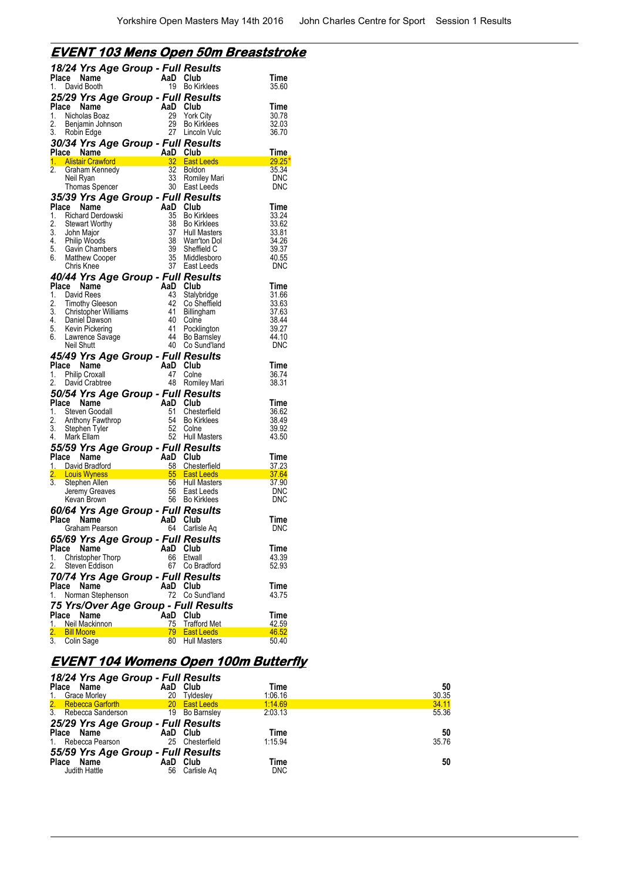#### **EVENT 103 Mens Open 50m Breaststroke**

|             | 18/24 Yrs Age Group - Full Results                            |                                                                 |                                          |                |
|-------------|---------------------------------------------------------------|-----------------------------------------------------------------|------------------------------------------|----------------|
| Place       | Name                                                          | AaD Club                                                        |                                          | Time           |
| 1.          | David Booth                                                   | 19                                                              | <b>Bo Kirklees</b>                       | 35.60          |
|             | 25/29 Yrs Age Group - Full Results                            |                                                                 |                                          |                |
| Place       | Name                                                          | $\begin{array}{c}\n\mathbf{AaD} \\ 29 \\ 29 \\ 29\n\end{array}$ | Club                                     | Time           |
| 2.          | 1. Nicholas Boaz                                              | 29                                                              | York City<br><b>Bo Kirklees</b>          | 30.78<br>32.03 |
| 3.          | Benjamin Johnson<br>Robin Edge                                |                                                                 | 27 Lincoln Vulc                          | 36.70          |
|             | 30/34 Yrs Age Group - Full Results                            |                                                                 |                                          |                |
|             | Place Name                                                    | AaD Club                                                        |                                          | Time           |
|             | 1. Alistair Crawford                                          | $\frac{32}{ }$                                                  | <b>East Leeds</b>                        | 29.25          |
| 2.          | Graham Kennedy                                                | 32                                                              | <b>Boldon</b>                            | 35.34          |
|             | Neil Ryan                                                     | 33                                                              | Romiley Mari                             | <b>DNC</b>     |
|             | Thomas Spencer                                                |                                                                 | 30 East Leeds                            | DNC            |
|             | 35/39 Yrs Age Group - Full Results                            |                                                                 |                                          |                |
| Place<br>1. | Name                                                          | AaD<br>35                                                       | Club                                     | Time<br>33.24  |
| 2.          | Richard Derdowski<br><b>Stewart Worthy</b>                    | 38                                                              | <b>Bo Kirklees</b><br><b>Bo Kirklees</b> | 33.62          |
|             |                                                               | 37                                                              | Hull Masters                             | 33.81          |
|             | 3. John Major<br>4. Philip Woods<br>5. Gavin Chambers         | 38                                                              | Warr'ton Dol                             | 34.26          |
|             |                                                               | 39                                                              | Sheffield C                              | 39.37          |
|             | 6. Matthew Cooper                                             | 35                                                              | Middlesboro                              | 40.55          |
|             | Chris Knee                                                    | 37                                                              | East Leeds                               | <b>DNC</b>     |
|             | 40/44 Yrs Age Group - Full Results                            |                                                                 |                                          |                |
| 1.          | Place Name                                                    | AaD Club<br>43                                                  |                                          | Time<br>31.66  |
|             | David Rees                                                    | 42                                                              | Stalybridge<br>Co Sheffield              | 33.63          |
|             |                                                               | 41                                                              | Billingham                               | 37.63          |
|             | 2. Timothy Greeno<br>3. Christopher Williams<br>Contel Dawson | - 40                                                            | Colne                                    | 38.44          |
|             | 5. Kevin Pickering                                            | 41                                                              | Pocklington                              | 39.27          |
| 6.          | Lawrence Savage                                               | 44                                                              | <b>Bo Barnsley</b>                       | 44.10          |
|             | Neil Shutt                                                    | 40                                                              | Co Sund'land                             | DNC            |
|             | 45/49 Yrs Age Group - Full Results                            |                                                                 |                                          |                |
|             |                                                               |                                                                 |                                          |                |
|             | Place Name                                                    | AaD                                                             | Club                                     | Time           |
|             | 1. Philip Croxall                                             | 47                                                              | Colne                                    | 36.74          |
| 2.          | David Crabtree                                                |                                                                 | 48 Romiley Mari                          | 38.31          |
|             | 50/54 Yrs Age Group - Full Results                            |                                                                 |                                          |                |
| Place       | Name<br>1. Steven Goodall                                     | AaD<br>51                                                       | Club<br>Chesterfield                     | Time<br>36.62  |
|             |                                                               | 54                                                              | <b>Bo Kirklees</b>                       | 38.49          |
|             | 2. Anthony Fawthrop<br>3. Stephen Tyler                       | 52                                                              | Colne                                    | 39.92          |
| 4.          | Mark Ellam                                                    | 52                                                              | <b>Hull Masters</b>                      | 43.50          |
|             | 55/59 Yrs Age Group - Full Results                            |                                                                 |                                          |                |
| Place       | Name                                                          | AaD                                                             | Club                                     | Time           |
|             | 1. David Bradford                                             | 58                                                              | Chesterfield                             | 37.23          |
| 2.<br>3.    | <b>Louis Wyness</b><br>Stephen Allen                          | 56                                                              | 55 East Leeds<br><b>Hull Masters</b>     | 37.64<br>37.90 |
|             | Jeremy Greaves                                                | 56                                                              | East Leeds                               | <b>DNC</b>     |
|             | Kevan Brown                                                   |                                                                 | 56 Bo Kirklees                           | <b>DNC</b>     |
|             | 60/64 Yrs Age Group - Full Results                            |                                                                 |                                          |                |
| Place       | Name                                                          | AaD                                                             | Club                                     | Time           |
|             | Graham Pearson                                                | 64                                                              | Carlisle Aq                              | <b>DNC</b>     |
|             | 65/69 Yrs Age Group - Full Results                            |                                                                 |                                          |                |
| Place       | Name                                                          | AaD                                                             | Club                                     | Time           |
| 1.          | <b>Christopher Thorp</b>                                      | 66                                                              | Etwall                                   | 43.39          |
| 2.          | Steven Eddison                                                | 67                                                              | Co Bradford                              | 52.93          |
|             | 70/74 Yrs Age Group - Full Results                            |                                                                 |                                          |                |
| Place       | Name                                                          | AaD                                                             | Club                                     | Time           |
| 1.          | Norman Stephenson                                             | 72.                                                             | Co Sund'land                             | 43.75          |
|             |                                                               |                                                                 | 75 Yrs/Over Age Group - Full Results     |                |
| Place<br>1. | Name<br>Neil Mackinnon                                        | AaD<br>75                                                       | Club                                     | Time<br>42.59  |
| 2.          | <b>Bill Moore</b><br>Colin Sage                               | 79 -                                                            | <b>Trafford Met</b><br><b>East Leeds</b> | 46.52          |

#### **EVENT 104 Womens Open 100m Butterfly**

| 18/24 Yrs Age Group - Full Results          |                 |            |       |
|---------------------------------------------|-----------------|------------|-------|
| Place Name                                  | AaD Club        | Time       | 50    |
| 1. Grace Morley                             | 20<br>Tvideslev | 1:06.16    | 30.35 |
| 2. Rebecca Garforth<br>3. Rebecca Sanderson | 20 East Leeds   | 1:14.69    | 34.11 |
|                                             | 19 Bo Barnsley  | 2:03.13    | 55.36 |
| 25/29 Yrs Age Group - Full Results          |                 |            |       |
| Place Name                                  | AaD Club        | Time       | 50    |
| 1. Rebecca Pearson                          | 25 Chesterfield | 1:15.94    | 35.76 |
| 55/59 Yrs Age Group - Full Results          |                 |            |       |
| Place Name                                  | AaD Club        | Time       | 50    |
| Judith Hattle                               | 56 Carlisle Ag  | <b>DNC</b> |       |
|                                             |                 |            |       |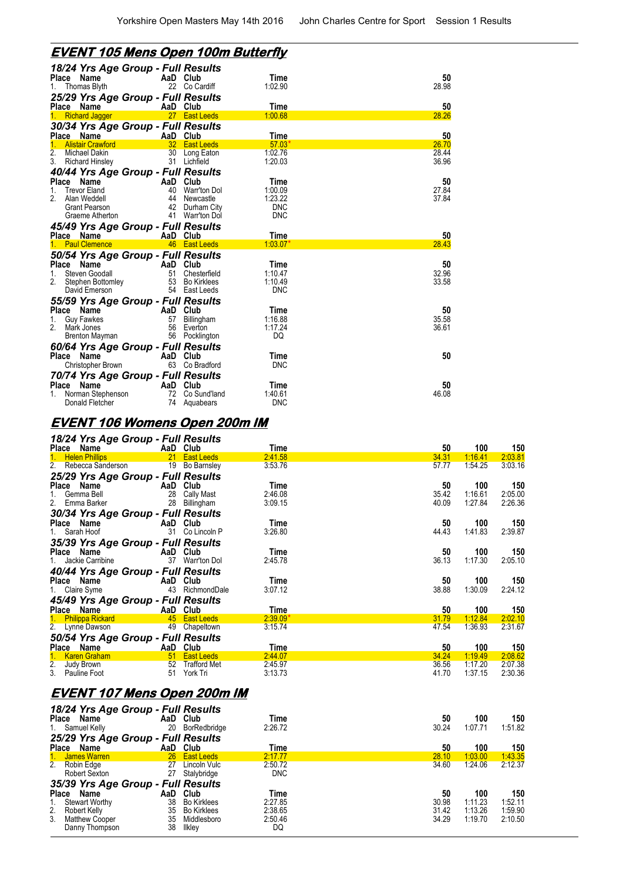### **EVENT 105 Mens Open 100m Butterfly**

| 18/24 Yrs Age Group - Full Results<br>Place Name           | AaD Club        |                           | Time                  | 50             |
|------------------------------------------------------------|-----------------|---------------------------|-----------------------|----------------|
| Thomas Blyth                                               | 22              | Co Cardiff                | 1:02.90               | 28.98          |
| 25/29 Yrs Age Group - Full Results                         |                 |                           |                       |                |
| Place Name                                                 | AaD Club        |                           | Time                  | 50             |
| <b>Richard Jagger</b><br>1.                                | 27 <sub>2</sub> | <b>East Leeds</b>         | 1:00.68               | 28.26          |
| 30/34 Yrs Age Group - Full Results                         |                 |                           |                       |                |
| Place Name                                                 | AaD Club        |                           | Time                  | 50             |
| <b>Alistair Crawford</b>                                   | 32              | <b>East Leeds</b>         | 57.03'                | 26.70          |
| 2.<br>Michael Dakin<br>3.<br><b>Richard Hinsley</b>        | 30<br>31        | Long Eaton<br>Lichfield   | 1:02.76<br>1:20.03    | 28.44<br>36.96 |
|                                                            |                 |                           |                       |                |
| 40/44 Yrs Age Group - Full Results<br>Place<br>Name        | AaD             | Club                      | Time                  | 50             |
| 1.<br><b>Trevor Eland</b>                                  | 40              | Warr'ton Dol              | 1:00.09               | 27.84          |
| 2.<br>Alan Weddell                                         | 44              | Newcastle                 | 1:23.22               | 37.84          |
| <b>Grant Pearson</b>                                       | 42              | Durham City               | <b>DNC</b>            |                |
| Graeme Atherton                                            | 41              | <b>Warr'ton Dol</b>       | <b>DNC</b>            |                |
| 45/49 Yrs Age Group - Full Results                         |                 |                           |                       |                |
|                                                            |                 |                           |                       | 50             |
| Place Name                                                 | AaD Club        |                           | Time                  |                |
| <b>Paul Clemence</b><br>1.                                 | 46              | <b>East Leeds</b>         | $1:03.07*$            | 28.43          |
|                                                            |                 |                           |                       |                |
| 50/54 Yrs Age Group - Full Results<br><b>Place</b><br>Name | AaD             | Club                      | Time                  | 50             |
| Steven Goodall<br>1.                                       | 51              | Chesterfield              | 1:10.47               | 32.96          |
| 2.<br>Stephen Bottomley                                    | 53              | Bo Kirklees               | 1:10.49               | 33.58          |
| David Emerson                                              |                 | 54 East Leeds             | <b>DNC</b>            |                |
|                                                            |                 |                           |                       |                |
| 55/59 Yrs Age Group - Full Results<br>Place<br>Name        | AaD Club        |                           | Time                  | 50             |
| <b>Guy Fawkes</b><br>1.                                    | 57              | Billingham                | 1:16.88               | 35.58          |
| 2 <sub>1</sub><br>Mark Jones                               | 56              | Everton                   | 1:17.24               | 36.61          |
| <b>Brenton Mayman</b>                                      |                 | 56 Pocklington            | DQ                    |                |
| 60/64 Yrs Age Group - Full Results                         |                 |                           |                       |                |
| <b>Place</b><br>Name                                       | AaD             | Club                      | Time                  | 50             |
| Christopher Brown                                          | 63              | Co Bradford               | <b>DNC</b>            |                |
|                                                            |                 |                           |                       |                |
| 70/74 Yrs Age Group - Full Results<br><b>Place</b><br>Name | AaD             | Club                      | Time                  | 50             |
| Norman Stephenson<br>Donald Fletcher                       | 72<br>74        | Co Sund'land<br>Aquabears | 1:40.61<br><b>DNC</b> | 46.08          |

#### **EVENT 106 Womens Open 200m IM**

Danny Thompson 38 Ilkley DQ

|                | 18/24 Yrs Age Group - Full Results<br>Place Name |                              | AaD Club |                                    | Time       | 50    | 100     | 150     |
|----------------|--------------------------------------------------|------------------------------|----------|------------------------------------|------------|-------|---------|---------|
|                | 1. Helen Phillips                                |                              |          | 21 East Leeds                      | 2:41.58    | 34.31 | 1:16.41 | 2:03.81 |
|                | 2. Rebecca Sanderson                             |                              |          | 19 Bo Barnsley                     | 3:53.76    | 57.77 | 1:54.25 | 3:03.16 |
|                | 25/29 Yrs Age Group - Full Results               |                              |          |                                    |            |       |         |         |
|                | Place Name                                       |                              | AaD Club |                                    | Time       | 50    | 100     | 150     |
|                | 1. Gemma Bell                                    |                              |          | 28 Cally Mast                      | 2:46.08    | 35.42 | 1:16.61 | 2:05.00 |
|                | 2. Emma Barker                                   |                              |          | 28 Billingham                      | 3:09.15    | 40.09 | 1:27.84 | 2:26.36 |
|                | 30/34 Yrs Age Group - Full Results               |                              |          |                                    |            |       |         |         |
| Place Name     |                                                  |                              | AaD Club |                                    | Time       | 50    | 100     | 150     |
| 1. Sarah Hoof  |                                                  |                              |          | 31 Co Lincoln P                    | 3:26.80    | 44.43 | 1:41.83 | 2:39.87 |
|                |                                                  |                              |          |                                    |            |       |         |         |
| Place Name     | 35/39 Yrs Age Group - Full Results               |                              | AaD Club |                                    | Time       | 50    | 100     | 150     |
|                | 1. Jackie Carribine                              |                              |          | 37 Warr'ton Dol                    | 2:45.78    | 36.13 | 1:17.30 | 2:05.10 |
|                |                                                  |                              |          |                                    |            |       |         |         |
|                | 40/44 Yrs Age Group - Full Results               |                              |          |                                    |            |       |         |         |
| Place Name     |                                                  |                              | AaD Club |                                    | Time       | 50    | 100     | 150     |
| 1. Claire Syme |                                                  |                              |          | 43 RichmondDale                    | 3:07.12    | 38.88 | 1:30.09 | 2:24.12 |
|                | 45/49 Yrs Age Group - Full Results               |                              |          |                                    |            |       |         |         |
| Place Name     |                                                  | <b>Example 2018</b> AaD Club |          |                                    | Time       | 50    | 100     | 150     |
|                | 1. Philippa Rickard                              |                              |          | 45 East Leeds                      | $2:39.09*$ | 31.79 | 1:12.84 | 2:02.10 |
|                | 2. Lynne Dawson                                  |                              |          | 49 Chapeltown                      | 3:15.74    | 47.54 | 1:36.93 | 2:31.67 |
|                | 50/54 Yrs Age Group - Full Results               |                              |          |                                    |            |       |         |         |
|                | Place Name                                       |                              | AaD Club |                                    | Time       | 50    | 100     | 150     |
|                | 1. Karen Graham                                  |                              |          | 51 East Leeds                      | 2:44.07    | 34.24 | 1:19.49 | 2:08.62 |
| 2. Judy Brown  |                                                  |                              |          | 52 Trafford Met                    | 2:45.97    | 36.56 | 1:17.20 | 2:07.38 |
|                | 3. Pauline Foot                                  |                              |          | 51 York Tri                        | 3:13.73    | 41.70 | 1:37.15 | 2:30.36 |
|                |                                                  |                              |          |                                    |            |       |         |         |
|                |                                                  |                              |          | <u>EVENT 107 Mens Open 200m IM</u> |            |       |         |         |
|                | 18/24 Yrs Age Group - Full Results               |                              |          |                                    |            |       |         |         |
| Place Name     |                                                  |                              | AaD Club |                                    | Time       | 50    | 100     | 150     |
|                | 1. Samuel Kelly                                  |                              |          | 20 BorRedbridge                    | 2:26.72    | 30.24 | 1:07.71 | 1:51.82 |
|                | 25/29 Yrs Age Group - Full Results               |                              |          |                                    |            |       |         |         |
| Place Name     |                                                  |                              | AaD Club |                                    | Time       | 50    | 100     | 150     |
|                | James Warren                                     |                              |          | 26 East Leeds                      | 2:17.77    | 28.10 | 1:03.00 | 1:43.35 |
| 2. Robin Edge  |                                                  |                              |          | 27 Lincoln Vulc                    | 2:50.72    | 34.60 | 1:24.06 | 2:12.37 |
|                | Robert Sexton                                    |                              |          | 27 Stalybridge                     | <b>DNC</b> |       |         |         |
|                | 35/39 Yrs Age Group - Full Results               |                              |          |                                    |            |       |         |         |
| Place Name     |                                                  |                              | AaD Club |                                    | Time       | 50    | 100     | 150     |

1. Stewart Worthy 38 Bo Kirklees 2:27.85 30.98 1:11.23 1:52.11 2. Robert Kelly 35 Bo Kirklees 2:38.65 31.42 1:13.26 1:59.90 3. Matthew Cooper 35 Middlesboro 2:50.46 34.29 1:19.70 2:10.50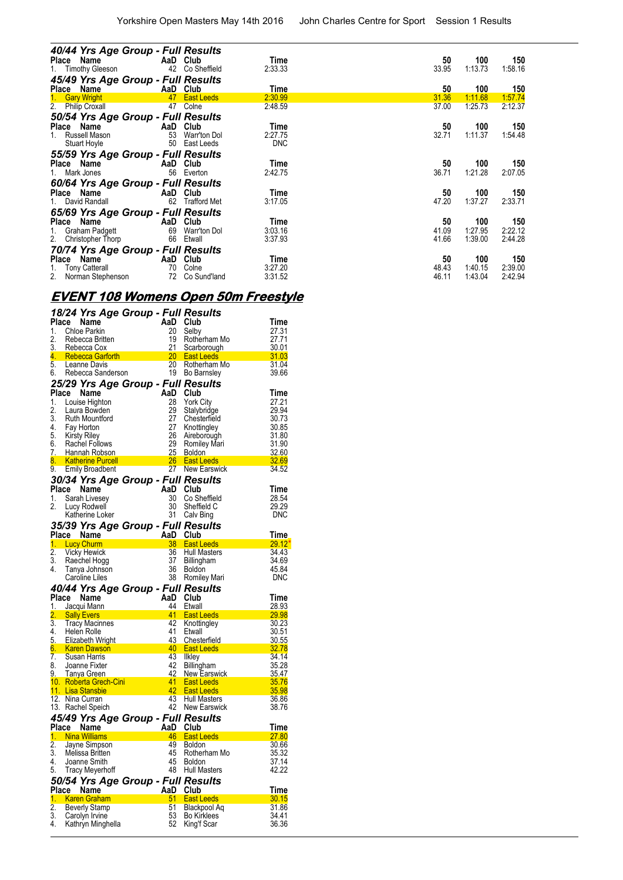| 40/44 Yrs Age Group - Full Results<br>Place Name | AaD Club |                     | Time       | 50    | 100     | 150     |
|--------------------------------------------------|----------|---------------------|------------|-------|---------|---------|
| 1. Timothy Gleeson                               | 42       | Co Sheffield        | 2:33.33    | 33.95 | 1:13.73 | 1:58.16 |
| 45/49 Yrs Age Group - Full Results               |          |                     |            |       |         |         |
| Place Name                                       | AaD      | Club                | Time       | 50    | 100     | 150     |
| 1.<br><b>Gary Wright</b>                         | 47       | <b>East Leeds</b>   | 2:30.99    | 31.36 | 1:11.68 | 1:57.74 |
| 2. Philip Croxall                                | 47       | Colne               | 2:48.59    | 37.00 | 1:25.73 | 2:12.37 |
| 50/54 Yrs Age Group - Full Results<br>Place Name | AaD      | Club                | Time       | 50    | 100     | 150     |
| Russell Mason<br>1.                              | 53       | Warr'ton Dol        | 2:27.75    | 32.71 | 1:11.37 | 1:54.48 |
| Stuart Hoyle                                     | 50       | East Leeds          | <b>DNC</b> |       |         |         |
| 55/59 Yrs Age Group - Full Results               |          |                     |            |       |         |         |
| Place Name                                       | AaD      | Club                | Time       | 50    | 100     | 150     |
| Mark Jones                                       | 56       | Everton             | 2:42.75    | 36.71 | 1:21.28 | 2:07.05 |
| 60/64 Yrs Age Group - Full Results               |          |                     |            |       |         |         |
| Place Name                                       | AaD      | Club                | Time       | 50    | 100     | 150     |
| 1. David Randall                                 | 62       | <b>Trafford Met</b> | 3:17.05    | 47.20 | 1:37.27 | 2:33.71 |
| 65/69 Yrs Age Group - Full Results               |          |                     |            |       |         |         |
| Place<br>Name                                    | AaD      | Club                | Time       | 50    | 100     | 150     |
| Graham Padgett<br>1.                             | 69       | Warr'ton Dol        | 3:03.16    | 41.09 | 1:27.95 | 2:22.12 |
| 2. Christopher Thorp                             | 66       | Etwall              | 3:37.93    | 41.66 | 1:39.00 | 2:44.28 |
| 70/74 Yrs Age Group - Full Results               |          |                     |            |       |         |         |
| Place Name                                       | AaD      | Club                | Time       | 50    | 100     | 150     |
| Tony Catterall<br>1.                             | 70       | Colne               | 3:27.20    | 48.43 | 1:40.15 | 2:39.00 |
| 2.<br>Norman Stephenson                          | 72       | Co Sund'land        | 3:31.52    | 46.11 | 1:43.04 | 2:42.94 |

# **EVENT 108 Womens Open 50m Freestyle**

|                    |                                                         | 18/24 Yrs Age Group - Full Results        |                                          |                |
|--------------------|---------------------------------------------------------|-------------------------------------------|------------------------------------------|----------------|
| Place              | Name                                                    | AaD                                       | Club                                     | Time           |
| 1.                 | Chloe Parkin                                            | 20                                        | Selby                                    | 27.31          |
| 2.                 | Rebecca Britten                                         | 19                                        | Rotherham Mo                             | 27.71          |
| 3.                 | Rebecca Cox                                             | 21<br>20                                  | Scarborough                              | 30.01<br>31.03 |
| 4.<br>5.           | Rebecca Garforth <b>Rebecca</b> Carrier<br>Leanne Davis | 20                                        | <b>East Leeds</b><br>Rotherham Mo        | 31.04          |
| 6.                 | Rebecca Sanderson                                       |                                           | 19 Bo Barnsley                           | 39.66          |
|                    |                                                         | 25/29 Yrs Age Group - Full Results        |                                          |                |
| Place              | Name                                                    | AaD                                       | Club                                     | Time           |
| 1.                 | Louise Highton                                          | 28                                        | <b>York City</b>                         | 27.21          |
| 2.                 | Laura Bowden                                            | 29                                        | Stalybridge                              | 29.94          |
| 3.                 | Ruth Mountford                                          | 27                                        | Chesterfield                             | 30.73          |
| 4.                 | Fay Horton                                              | 27                                        | Knottingley                              | 30.85          |
| 5.                 | <b>Kirsty Riley</b>                                     | 26                                        | Aireborough                              | 31.80          |
| 6.                 | Rachel Follows                                          | 29                                        | Romiley Mari                             | 31.90          |
| $7_{\ddots}$<br>8. | Hannah Robson                                           |                                           | 25 Boldon                                | 32.60          |
| 9.                 | <b>Katherine Purcell</b><br><b>Emily Broadbent</b>      |                                           | 26 East Leeds<br>27 New Earswick         | 32.69<br>34.52 |
|                    |                                                         |                                           |                                          |                |
|                    |                                                         | 30/34 Yrs Age Group - Full Results        |                                          |                |
| Place<br>1.        | Name<br>Sarah Livesey                                   | AaD<br>30                                 | Club<br>Co Sheffield                     | Time<br>28.54  |
| 2.                 | Lucy Rodwell                                            | 30                                        | Sheffield C                              | 29.29          |
|                    | Katherine Loker                                         | 31                                        | Calv Bing                                | <b>DNC</b>     |
|                    |                                                         | 35/39 Yrs Age Group - Full Results        |                                          |                |
|                    | Place Name                                              | AaD Club                                  |                                          | Time.          |
| 1.                 | <b>Lucy Churm</b>                                       |                                           | 38 East Leeds                            | 29.12          |
| 2.                 | <b>Vicky Hewick</b>                                     | 36                                        | Hull Masters                             | 34.43          |
| 3.                 | Raechel Hogg                                            | 37                                        | <b>Billingham</b>                        | 34.69          |
|                    |                                                         |                                           |                                          |                |
| 4.                 | Tanya Johnson                                           | 36                                        | Boldon                                   | 45.84          |
|                    | Caroline Liles                                          | 38                                        | Romiley Mari                             | DNC            |
|                    |                                                         | 40/44 Yrs Age Group - Full Results        |                                          |                |
| Place              | Name                                                    | AaD                                       | Club                                     | Time           |
| 1.                 | Jacqui Mann                                             | 44                                        | Etwall                                   | 28.93          |
|                    | <b>Sally Evers</b>                                      | 41                                        | <b>East Leeds</b>                        | 29.98          |
| 3.<br>4.           | Tracy Macinnes                                          | 42                                        | Knottingley                              | 30.23          |
| 5.                 | Helen Rolle<br>Elizabeth Wright                         | 41<br>43                                  | Etwall<br>Chesterfield                   | 30.51<br>30.55 |
| 6.                 | <b>Karen Dawson</b>                                     | $\sim$ 40                                 | — East Leeds — ⊙                         | 32.78          |
| 7.                 | Susan Harris                                            | 43                                        | Ilkley                                   | 34.14          |
| 8.                 | Joanne Fixter                                           | 42                                        | Billingham                               | 35.28          |
| 9.                 | <b>Tanya Green</b>                                      | 42                                        | <b>New Earswick</b>                      | 35.47          |
|                    | 10. Roberta Grech-Cini                                  | 41                                        | <b>East Leeds</b>                        | 35.76          |
|                    | <u>11. Lisa Stansbie</u>                                | 42<br>43                                  | <b>East Leeds</b><br><b>Hull Masters</b> | 35.98          |
|                    | 12. Nina Curran<br>13. Rachel Speich                    |                                           | 42 New Earswick                          | 36.86<br>38.76 |
|                    |                                                         |                                           |                                          |                |
|                    |                                                         | 45/49 Yrs Age Group - Full Results<br>AaD |                                          | Time           |
| 1.                 | Place Name<br><b>Nina Williams</b>                      | 46                                        | <b>Club</b><br><b>East Leeds</b>         | 27.80          |
| 2.                 | Jayne Simpson                                           | 49                                        | Boldon                                   | 30.66          |
| 3.                 | Melissa Britten                                         | 45                                        | Rotherham Mo                             | 35.32          |
| 4.                 | Joanne Smith                                            | 45                                        | <b>Boldon</b>                            | 37.14          |
| 5.                 | <b>Tracy Meyerhoff</b>                                  |                                           | 48 Hull Masters                          | 42.22          |
|                    |                                                         | 50/54 Yrs Age Group - Full Results        |                                          |                |
|                    | Place Name                                              | AaD                                       | Club                                     | Time           |
| 1.                 | <b>Karen Graham</b>                                     | 51                                        | <b>East Leeds</b>                        | 30.15          |
| 2.                 | <b>Beverly Stamp</b>                                    | 51                                        | Blackpool Aq                             | 31.86          |
| 3.<br>4.           | Carolyn Irvine<br>Kathryn Minghella                     | 53<br>52                                  | <b>Bo Kirklees</b><br>King't Scar        | 34.41<br>36.36 |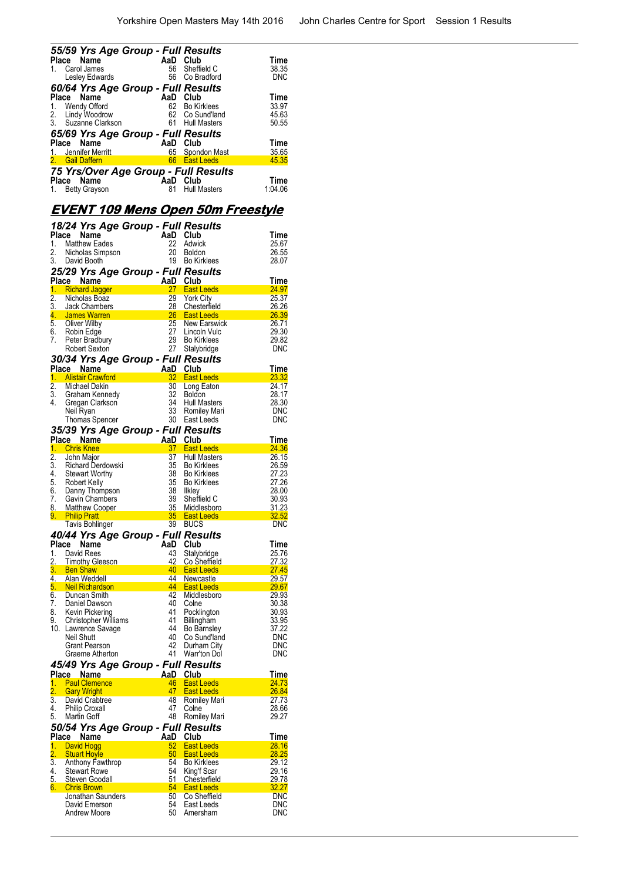| 55/59 Yrs Age Group - Full Results   |     |                     |             |
|--------------------------------------|-----|---------------------|-------------|
| Place<br>Name                        | AaD | Club                | Time        |
| Carol James                          | 56  | Sheffield C         | 38.35       |
| Lesley Edwards                       | 56  | Co Bradford         | <b>DNC</b>  |
| 60/64 Yrs Age Group - Full Results   |     |                     |             |
| Name<br>Place                        | AaD | Club                | <b>Time</b> |
| Wendy Offord<br>1.                   | 62  | <b>Bo Kirklees</b>  | 33.97       |
| Lindy Woodrow<br>2.                  | 62  | Co Sund'land        | 45.63       |
| 3. Suzanne Clarkson                  | 61  | <b>Hull Masters</b> | 50.55       |
| 65/69 Yrs Age Group - Full Results   |     |                     |             |
| Name<br>Place                        | AaD | Club                | <b>Time</b> |
| 1. Jennifer Merritt                  | 65  | Spondon Mast        | 35.65       |
| <b>Gail Daffern</b><br>2.            | 66  | <b>East Leeds</b>   | 45.35       |
| 75 Yrs/Over Age Group - Full Results |     |                     |             |
| Name<br><b>Place</b>                 | AaD | Club                | <b>Time</b> |
| <b>Betty Grayson</b><br>1.           | 81  | <b>Hull Masters</b> | 1:04.06     |

## **EVENT 109 Mens Open 50m Freestyle**

| 1.               | 18/24 Yrs Age Group - Full Results<br>Place Name<br><b>Matthew Eades</b>                 |                                                                                                                                                | AaD Club<br>22 | Adwick                                                    | Time<br>25.67                          |
|------------------|------------------------------------------------------------------------------------------|------------------------------------------------------------------------------------------------------------------------------------------------|----------------|-----------------------------------------------------------|----------------------------------------|
| 2.<br>3.         | Nicholas Simpson<br>David Booth                                                          |                                                                                                                                                | 20<br>19       | <b>Boldon</b><br><b>Bo Kirklees</b>                       | 26.55<br>28.07                         |
|                  | 25/29 Yrs Age Group - Full Results                                                       | $A$ an Res<br>Aad Club<br>27 F                                                                                                                 |                |                                                           |                                        |
| 1.               | Place Name<br><b>Richard Jagger</b>                                                      |                                                                                                                                                |                | 27 East Leeds                                             | Time<br>24.97                          |
| $\overline{2}$ . | Nicholas Boaz                                                                            |                                                                                                                                                | 29             | <b>York City</b>                                          | 25.37                                  |
| 3.               | Jack Chambers                                                                            |                                                                                                                                                |                | Chesterfield                                              | 26.26                                  |
|                  | 4 James Warren                                                                           | and the contract of the contract of the contract of the contract of the contract of the contract of the contra<br>25 New Earst 27 Lincoln Vule |                |                                                           | 26.39                                  |
|                  | 5. Oliver Wilby                                                                          |                                                                                                                                                |                | New Earswick                                              | 26.71                                  |
|                  | 6. Robin Edge                                                                            |                                                                                                                                                |                | Lincoln Vulc                                              | 29.30                                  |
|                  | 7. Peter Bradbury                                                                        |                                                                                                                                                | 29             | <b>Bo Kirklees</b>                                        | 29.82                                  |
|                  | Robert Sexton                                                                            |                                                                                                                                                |                | 27 Stalybridge                                            | <b>DNC</b>                             |
|                  | 30/34 Yrs Age Group - Full Results<br>Place Name AaD Club                                |                                                                                                                                                |                |                                                           | Time                                   |
| 1.               | <b>Alistair Crawford</b>                                                                 |                                                                                                                                                | 32             | <b>East Leeds</b>                                         | 23.32                                  |
| $\overline{2}$ . | Michael Dakin                                                                            |                                                                                                                                                | 30             | Long Eaton                                                | 24.17                                  |
|                  | 3. Graham Kennedy                                                                        |                                                                                                                                                | 32             | <b>Boldon</b>                                             | 28.17                                  |
| 4.               | Gregan Clarkson                                                                          |                                                                                                                                                |                | 34 Hull Masters                                           | 28.30                                  |
|                  | Neil Ryan                                                                                |                                                                                                                                                |                | 33 Romiley Mari                                           | DNC                                    |
|                  | Thomas Spencer                                                                           |                                                                                                                                                |                |                                                           | <b>DNC</b>                             |
|                  | 35/39 Yrs Age Group - Full Results<br>Place Name AaD Club                                |                                                                                                                                                |                | 34 .<br>33 Romlley<br>30 East Leeds<br><b>*** Results</b> | Time                                   |
|                  | 1. Chris Knee                                                                            |                                                                                                                                                |                | 37 East Leeds                                             | 24.36                                  |
| 2.               | John Major                                                                               |                                                                                                                                                | 37             | <b>Hull Masters</b>                                       | 26.15                                  |
| 3.               |                                                                                          |                                                                                                                                                | 35             | <b>Bo Kirklees</b>                                        | 26.59                                  |
|                  |                                                                                          |                                                                                                                                                | 38             | <b>Bo Kirklees</b>                                        | 27.23                                  |
|                  | 3. Richard Derdowski<br>4. Stewart Worthy<br>5. Robert Kelly                             |                                                                                                                                                | 35             | <b>Bo Kirklees</b>                                        | 27.26                                  |
|                  | 6. Danny Thompson                                                                        |                                                                                                                                                | 38             | Ilkley                                                    | 28.00                                  |
| 7.               | Gavin Chambers                                                                           |                                                                                                                                                | 39             | Sheffield C                                               | 30.93                                  |
|                  | 9. Philip Pratt                                                                          |                                                                                                                                                |                | 8. Matthew Cooper 35 Middlesboro                          | 31.23<br>$\overline{\phantom{a}32.52}$ |
|                  | Tavis Bohlinger                                                                          |                                                                                                                                                |                | 35 East Leeds<br>39 BUCS                                  | <b>DNC</b>                             |
|                  | 40/44 Yrs Age Group - Full Results                                                       |                                                                                                                                                |                |                                                           |                                        |
|                  | Place Name                                                                               |                                                                                                                                                | AaD Club       |                                                           | Time                                   |
| 1.               | David Rees                                                                               |                                                                                                                                                | 43             | Stalybridge                                               | 25.76                                  |
|                  | ب Timotriy<br><mark>3. Ben Shaw</mark><br>Medd<br>Timothy Gleeson<br>Ben Shaw            |                                                                                                                                                | 42             | Co Sheffield                                              | <u>27.32</u>                           |
|                  |                                                                                          |                                                                                                                                                |                | 40 East Leeds                                             | <b>Service Service</b><br>27.45        |
|                  | 4. Alan Weddell<br>4. Alan Weddell<br><mark>5. Neil Richardson – Alan III III III</mark> |                                                                                                                                                | 44             | <b>Newcastle</b>                                          | 29.57                                  |
|                  |                                                                                          |                                                                                                                                                | <b>44</b>      | <b>East Leeds</b>                                         | <u>29.67</u>                           |
| 7.               | 6. Duncan Smith<br>Daniel Dawson                                                         |                                                                                                                                                | 42<br>40       | Middlesboro<br>Colne                                      | 29.93<br>30.38                         |
| 8.               | Kevin Pickering                                                                          |                                                                                                                                                | 41             | Pocklington                                               | 30.93                                  |
| 9.               | Christopher Williams                                                                     |                                                                                                                                                | 41             | <b>Billingham</b>                                         | 33.95                                  |
|                  | 10. Lawrence Savage                                                                      |                                                                                                                                                | 44             | <b>Bo Barnsley</b>                                        | 37.22                                  |
|                  | Neil Shutt                                                                               |                                                                                                                                                | 40             | Co Sund'land                                              | <b>DNC</b>                             |
|                  | Grant Pearson                                                                            |                                                                                                                                                | 42             | Durham City                                               | <b>DNC</b>                             |
|                  | Graeme Atherton                                                                          |                                                                                                                                                | 41             | Warr'ton Dol                                              | DNC                                    |
|                  | 45/49 Yrs Age Group - Full Results                                                       |                                                                                                                                                |                |                                                           |                                        |
| 1.               | Place Name<br><b>Paul Clemence</b>                                                       |                                                                                                                                                | AaD Club<br>46 | <b>East Leeds</b>                                         | Time<br>24.73                          |
| 2.               | <b>Gary Wright</b>                                                                       |                                                                                                                                                | 47             | <b>East Leeds</b>                                         | 26.84                                  |
| 3.               | David Crabtree                                                                           |                                                                                                                                                | 48             | Romiley Mari                                              | 27.73                                  |
| 4.               | <b>Philip Croxall</b>                                                                    |                                                                                                                                                | 47             | Colne                                                     | 28.66                                  |
| 5.               | Martin Goff                                                                              |                                                                                                                                                | 48             | Romiley Mari                                              | 29.27                                  |
|                  | 50/54 Yrs Age Group - Full Results                                                       |                                                                                                                                                |                |                                                           |                                        |
|                  | Place Name                                                                               |                                                                                                                                                | AaD            | Club                                                      | Time                                   |
| $\overline{1}$ . | <b>David Hogg</b>                                                                        |                                                                                                                                                | 52             | <b>East Leeds</b>                                         | 28.16                                  |
| 2.               | <b>Stuart Hoyle</b>                                                                      |                                                                                                                                                | 50             | <b>East Leeds</b>                                         | 28.25                                  |
| 3.<br>4.         | Anthony Fawthrop                                                                         |                                                                                                                                                | 54<br>54       | <b>Bo Kirklees</b><br>King'f Scar                         | 29.12<br>29.16                         |
| 5.               | <b>Stewart Rowe</b><br>Steven Goodall                                                    |                                                                                                                                                | 51             | Chesterfield                                              | 29.78                                  |
| 6.               | <b>Chris Brown</b>                                                                       |                                                                                                                                                | 54             | <b>East Leeds</b>                                         | 32.27                                  |
|                  | Jonathan Saunders                                                                        |                                                                                                                                                | 50             | Co Sheffield                                              | DNC                                    |
|                  | David Emerson                                                                            |                                                                                                                                                | 54             | East Leeds                                                | DNC                                    |
|                  | Andrew Moore                                                                             |                                                                                                                                                | 50             | Amersham                                                  | DNC                                    |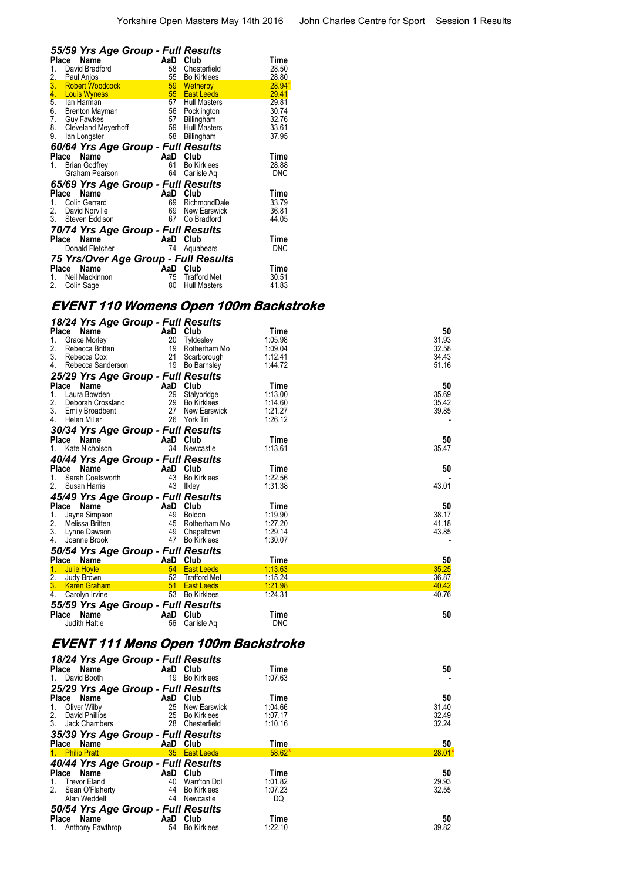|                                | 55/59 Yrs Age Group - Full Results   |       |                     |            |
|--------------------------------|--------------------------------------|-------|---------------------|------------|
| Place                          | Name                                 | AaD   | Club                | Time       |
| 1.                             | David Bradford                       | 58    | Chesterfield        | 28.50      |
|                                | Paul Anjos                           | $55-$ | <b>Bo Kirklees</b>  | 28.80      |
| $\frac{2}{3}$<br>$\frac{4}{5}$ | <b>Robert Woodcock</b>               |       | 59 Wetherby         | 28.94      |
|                                | <b>Louis Wyness</b>                  |       | 55 East Leeds       | 29.41      |
|                                | lan Harman                           | 57    | <b>Hull Masters</b> | 29.81      |
| 6.<br>7.                       | Brenton Mayman                       | 56    | Pocklington         | 30.74      |
|                                | <b>Guy Fawkes</b>                    | 57    | Billingham          | 32.76      |
| 8.                             | <b>Cleveland Meyerhoff</b>           | 59    | <b>Hull Masters</b> | 33.61      |
| 9.                             | lan Longster                         | 58    | Billingham          | 37.95      |
|                                | 60/64 Yrs Age Group - Full Results   |       |                     |            |
| Place                          | Name                                 | AaD   | Club                | Time       |
| 1.                             | <b>Brian Godfrey</b>                 | 61    | <b>Bo Kirklees</b>  | 28.88      |
|                                | Graham Pearson                       | 64    | Carlisle Aq         | <b>DNC</b> |
|                                | 65/69 Yrs Age Group - Full Results   |       |                     |            |
| Place                          | Name                                 | AaD   | Club                | Time       |
| 1.                             | <b>Colin Gerrard</b>                 | 69    | RichmondDale        | 33.79      |
|                                | 2. David Norville                    | 69    | <b>New Earswick</b> | 36.81      |
|                                | 3. Steven Eddison                    | 67    | Co Bradford         | 44.05      |
|                                | 70/74 Yrs Age Group - Full Results   |       |                     |            |
| Place                          | Name                                 | AaD   | Club                | Time       |
|                                | Donald Fletcher                      | 74    | Aquabears           | <b>DNC</b> |
|                                | 75 Yrs/Over Age Group - Full Results |       |                     |            |
| Place                          | Name                                 | AaD   | Club                | Time       |
| 1.                             | Neil Mackinnon                       | 75    | <b>Trafford Met</b> | 30.51      |
| 2.                             | Colin Sage                           | 80    | <b>Hull Masters</b> | 41.83      |

# **EVENT 110 Womens Open 100m Backstroke**

|                 |                      | 18/24 Yrs Age Group - Full Results |                 |                                            |       |
|-----------------|----------------------|------------------------------------|-----------------|--------------------------------------------|-------|
| Place Name      |                      | AaD Club                           |                 | Time                                       | 50    |
| 1.              | <b>Grace Morley</b>  |                                    | 20 Tyldesley    | 1:05.98                                    | 31.93 |
| 2.              | Rebecca Britten      |                                    | 19 Rotherham Mo | 1:09.04                                    | 32.58 |
|                 | 3. Rebecca Cox       |                                    | 21 Scarborough  | 1:12.41                                    | 34.43 |
|                 | 4. Rebecca Sanderson |                                    | 19 Bo Barnsley  | 1:44.72                                    | 51.16 |
|                 |                      | 25/29 Yrs Age Group - Full Results |                 |                                            |       |
| Place Name      |                      | AaD Club                           |                 | Time                                       | 50    |
|                 | 1. Laura Bowden      |                                    | 29 Stalybridge  | 1:13.00                                    | 35.69 |
|                 | 2. Deborah Crossland |                                    | 29 Bo Kirklees  | 1:14.60                                    | 35.42 |
|                 | 3. Emily Broadbent   |                                    | 27 New Earswick | 1:21.27                                    | 39.85 |
| 4. Helen Miller |                      |                                    | 26 York Tri     | 1:26.12                                    |       |
|                 |                      | 30/34 Yrs Age Group - Full Results |                 |                                            |       |
| Place Name      |                      | AaD Club                           |                 | Time                                       | 50    |
|                 | 1. Kate Nicholson    |                                    | 34 Newcastle    | 1:13.61                                    | 35.47 |
|                 |                      | 40/44 Yrs Age Group - Full Results |                 |                                            |       |
| Place Name      |                      | AaD Club                           |                 | Time                                       | 50    |
| 1.              | Sarah Coatsworth     |                                    | 43 Bo Kirklees  | 1:22.56                                    |       |
| 2.              | Susan Harris         |                                    | 43 Ilkley       | 1:31.38                                    | 43.01 |
|                 |                      | 45/49 Yrs Age Group - Full Results |                 |                                            |       |
| Place Name      |                      | AaD Club                           |                 | Time                                       | 50    |
|                 | 1. Jayne Simpson     |                                    | 49 Boldon       | 1:19.90                                    | 38.17 |
|                 | 2. Melissa Britten   |                                    | 45 Rotherham Mo | 1:27.20                                    | 41.18 |
|                 | 3. Lynne Dawson      |                                    | 49 Chapeltown   | 1:29.14                                    | 43.85 |
|                 | 4. Joanne Brook      |                                    | 47 Bo Kirklees  | 1:30.07                                    |       |
|                 |                      | 50/54 Yrs Age Group - Full Results |                 |                                            |       |
| Place Name      |                      | AaD Club                           |                 | Time                                       | 50    |
| 1. Julie Hoyle  |                      |                                    | 54 East Leeds   | 1:13.63                                    | 35.25 |
| 2.              | Judy Brown           |                                    | 52 Trafford Met | 1:15.24                                    | 36.87 |
|                 | 3. Karen Graham      |                                    | 51 East Leeds   | 1:21.98                                    | 40.42 |
|                 | 4. Carolyn Irvine    |                                    | 53 Bo Kirklees  | 1:24.31                                    | 40.76 |
|                 |                      | 55/59 Yrs Age Group - Full Results |                 |                                            |       |
| Place Name      |                      | AaD Club                           |                 | Time                                       | 50    |
|                 | Judith Hattle        |                                    | 56 Carlisle Aq  | <b>DNC</b>                                 |       |
|                 |                      |                                    |                 |                                            |       |
|                 |                      |                                    |                 | <u>EVENT 111 Mens Open 100m Backstroke</u> |       |
|                 |                      | 18/24 Yrs Age Group - Full Results |                 |                                            |       |
| Place Name      |                      | AaD Club                           |                 | Time                                       | 50    |
| 1. David Booth  |                      |                                    | 19 Bo Kirklees  | 1:07.63                                    |       |
|                 |                      | 25/20 Vrs Ano Croup - Full Posults |                 |                                            |       |

| Place Name                         | AaD<br>Club              | Time     | 50       |
|------------------------------------|--------------------------|----------|----------|
| 1. David Booth                     | 19<br><b>Bo Kirklees</b> | 1:07.63  |          |
| 25/29 Yrs Age Group - Full Results |                          |          |          |
| Place Name                         | Club<br>AaD              | Time     | 50       |
| Oliver Wilby<br>1.                 | 25<br>New Earswick       | 1:04.66  | 31.40    |
| 2. David Phillips                  | 25<br><b>Bo Kirklees</b> | 1:07.17  | 32.49    |
| 3. Jack Chambers                   | 28 Chesterfield          | 1:10.16  | 32.24    |
| 35/39 Yrs Age Group - Full Results |                          |          |          |
| Place Name                         | AaD Club                 | Time     | 50       |
| 1. Philip Pratt                    | 35 East Leeds            | $58.62*$ | $28.01*$ |
| 40/44 Yrs Age Group - Full Results |                          |          |          |
| Place Name                         | AaD Club                 | Time     | 50       |
| 1. Trevor Eland                    | 40<br>Warr'ton Dol       | 1:01.82  | 29.93    |
| 2. Sean O'Flaherty                 | 44 Bo Kirklees           | 1:07.23  | 32.55    |
| Alan Weddell                       | 44<br>Newcastle          | DQ       |          |
| 50/54 Yrs Age Group - Full Results |                          |          |          |
| Place Name                         | AaD<br>Club              | Time     | 50       |
| 1. Anthony Fawthrop                | 54<br><b>Bo Kirklees</b> | 1:22.10  | 39.82    |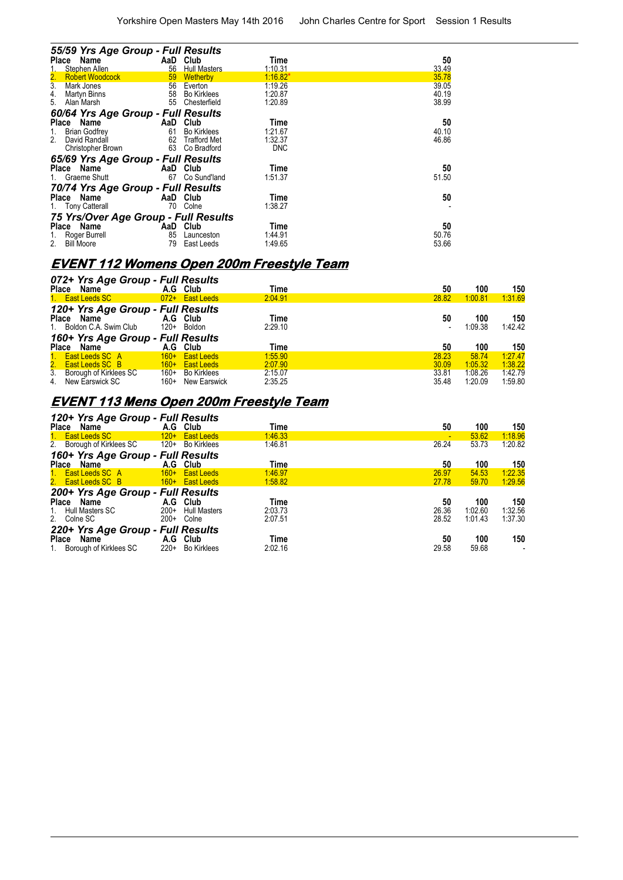| 55/59 Yrs Age Group - Full Results<br>Name<br>Place |     | AaD Club            | Time       | 50    |
|-----------------------------------------------------|-----|---------------------|------------|-------|
| Stephen Allen                                       | 56  | <b>Hull Masters</b> | 1:10.31    | 33.49 |
| <b>Robert Woodcock</b><br>2.                        | 59  | Wetherby            | $1:16.82*$ | 35.78 |
| $\overline{3}$ .<br>Mark Jones                      | 56  | Everton             | 1:19.26    | 39.05 |
| Martyn Binns<br>4.                                  | 58  | <b>Bo Kirklees</b>  | 1:20.87    | 40.19 |
| 5.<br>Alan Marsh                                    | 55  | Chesterfield        | 1:20.89    | 38.99 |
| 60/64 Yrs Age Group - Full Results                  |     |                     |            |       |
| Place Name                                          | AaD | Club                | Time       | 50    |
| <b>Brian Godfrey</b><br>1.                          | 61  | <b>Bo Kirklees</b>  | 1:21.67    | 40.10 |
| 2.<br>David Randall                                 | 62  | <b>Trafford Met</b> | 1:32.37    | 46.86 |
| Christopher Brown                                   |     | 63 Co Bradford      | <b>DNC</b> |       |
| 65/69 Yrs Age Group - Full Results                  |     |                     |            |       |
| Name<br>Place                                       |     | AaD Club            | Time       | 50    |
| Graeme Shutt                                        | 67  | Co Sund'land        | 1:51.37    | 51.50 |
| 70/74 Yrs Age Group - Full Results                  |     |                     |            |       |
| Place Name                                          |     | AaD Club            | Time       | 50    |
| <b>Tony Catterall</b><br>1.                         | 70  | Colne               | 1:38.27    |       |
| 75 Yrs/Over Age Group - Full Results                |     |                     |            |       |
| Place Name                                          | AaD | Club                | Time       | 50    |
| Roger Burrell                                       | 85  | Launceston          | 1.44.91    | 50.76 |
| 2.<br><b>Bill Moore</b>                             | 79  | East Leeds          | 1:49.65    | 53.66 |

# **EVENT 112 Womens Open 200m Freestyle Team**

|              | 072+ Yrs Age Group - Full Results |        |                   |         |       |         |         |
|--------------|-----------------------------------|--------|-------------------|---------|-------|---------|---------|
| Place        | Name                              |        | A.G Club          | Time    | 50    | 100     | 150     |
|              | 1. East Leeds SC                  |        | 072+ East Leeds   | 2:04.91 | 28.82 | 1:00.81 | 1:31.69 |
|              | 120+ Yrs Age Group - Full Results |        |                   |         |       |         |         |
| <b>Place</b> | Name                              |        | A.G Club          | Time    | 50    | 100     | 150     |
|              | 1. Boldon C.A. Swim Club          | 120+   | Boldon            | 2:29.10 |       | 1:09.38 | 1:42.42 |
|              | 160+ Yrs Age Group - Full Results |        |                   |         |       |         |         |
| Place        | Name                              | A.G    | Club              | Time    | 50    | 100     | 150     |
|              | 1. East Leeds SC A                | $160+$ | <b>East Leeds</b> | 1:55.90 | 28.23 | 58.74   | 1:27.47 |
|              | 2. East Leeds SC B                | $160+$ | <b>East Leeds</b> | 2:07.90 | 30.09 | 1:05.32 | 1:38.22 |
|              | 3. Borough of Kirklees SC         | 160+   | Bo Kirklees       | 2:15.07 | 33.81 | 1:08.26 | 1:42.79 |
|              | 4. New Earswick SC                | 160+   | New Earswick      | 2:35.25 | 35.48 | 1:20.09 | 1:59.80 |

## **EVENT 113 Mens Open 200m Freestyle Team**

| 120+ Yrs Age Group - Full Results<br>50<br>100<br>Place Name<br>A.G Club<br>Time       | 150<br>1:18.96 |
|----------------------------------------------------------------------------------------|----------------|
|                                                                                        |                |
| 1:46.33<br>1. East Leeds SC<br>53.62<br>120+ East Leeds                                |                |
| 26.24<br>2. Borough of Kirklees SC 120+ Bo Kirklees<br>1:46.81<br>53.73                | 1:20.82        |
| 160+ Yrs Age Group - Full Results                                                      |                |
| 100<br>A.G Club<br>Time<br>50<br>Place Name                                            | 150            |
| 1. East Leeds SC A<br>1:46.97<br>26.97<br>160+ East Leeds<br>54.53                     | 1:22.35        |
| 2. East Leeds SC B<br>27.78<br>1:58.82<br><b>East Leeds</b> 160+ East Leeds<br>59.70   | 1:29.56        |
| 200+ Yrs Age Group - Full Results                                                      |                |
| A.G Club<br>Place Name<br>100<br>Time<br>50                                            | 150            |
| 26.36<br>2:03.73<br>1:02.60<br>1. Hull Masters SC<br>$200+$<br><b>Hull Masters</b>     | 1:32.56        |
| 28.52<br>2. Colne SC<br>1:01.43<br>$200+$<br>2:07.51<br>Colne                          | 1:37.30        |
| 220+ Yrs Age Group - Full Results                                                      |                |
| A.G Club<br>100<br>Time<br>Place Name<br>50                                            | 150            |
| $220+$<br>1. Borough of Kirklees SC<br>2:02.16<br>29.58<br><b>Bo Kirklees</b><br>59.68 | -              |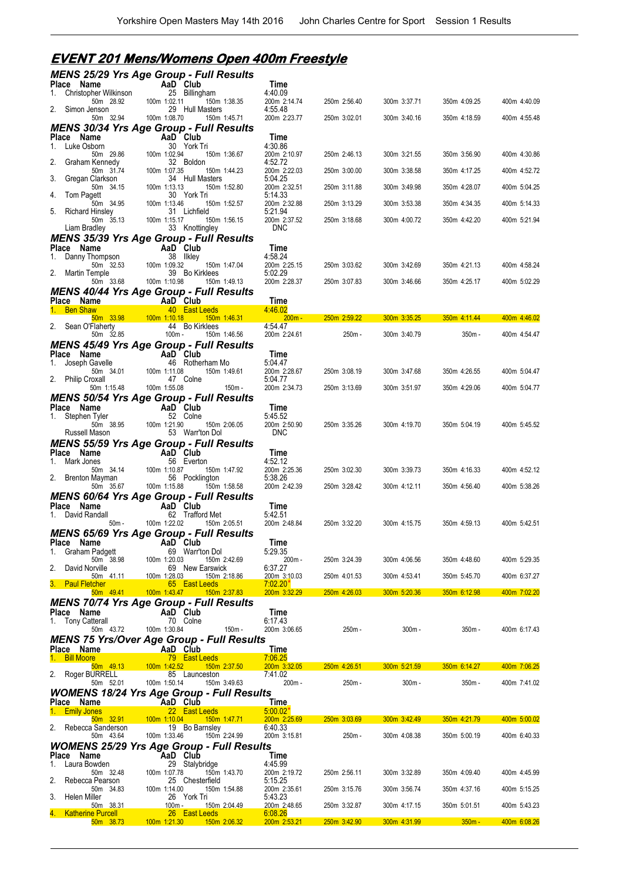# **EVENT 201 Mens/Womens Open 400m Freestyle**

|                                             | <b>MENS 25/29 Yrs Age Group - Full Results</b>                                   |                            |              |              |                                                                                                                            |              |
|---------------------------------------------|----------------------------------------------------------------------------------|----------------------------|--------------|--------------|----------------------------------------------------------------------------------------------------------------------------|--------------|
| Place Name<br>Christopher Wilkinson<br>1.   | AaD Club<br>25 Billingham                                                        | Time<br>4:40.09            |              |              |                                                                                                                            |              |
| 50m 28.92                                   | 100m 1:02.11<br>150m 1:38.35                                                     | 200m 2:14.74               | 250m 2:56.40 | 300m 3:37.71 | 350m 4:09.25                                                                                                               | 400m 4:40.09 |
| 2.<br>Simon Jenson<br>50m 32.94             | 29 Hull Masters<br>100m 1:08.70<br>150m 1:45.71                                  | 4:55.48<br>200m 2:23.77    | 250m 3:02.01 | 300m 3:40.16 | 350m 4:18.59                                                                                                               | 400m 4:55.48 |
|                                             | <b>MENS 30/34 Yrs Age Group - Full Results</b>                                   |                            |              |              |                                                                                                                            |              |
| Place Name<br>Luke Osborn<br>1.             | AaD Club<br>30 York Tri                                                          | Time<br>4:30.86            |              |              |                                                                                                                            |              |
| 50m 29.86                                   | 100m 1:02.94<br>150m 1:36.67                                                     | 200m 2:10.97               | 250m 2:46.13 | 300m 3:21.55 | 350m 3:56.90                                                                                                               | 400m 4:30.86 |
| 2.<br>Graham Kennedy<br>50m 31.74           | 32 Boldon<br>100m 1:07.35<br>150m 1:44.23                                        | 4:52.72<br>200m 2:22.03    | 250m 3:00.00 | 300m 3:38.58 | 350m 4:17.25                                                                                                               | 400m 4:52.72 |
| 3.<br>Gregan Clarkson                       | 34 Hull Masters                                                                  | 5:04.25                    |              |              |                                                                                                                            |              |
| 50m 34.15<br>4.<br>Tom Pagett               | 100m 1:13.13<br>150m 1:52.80<br>30 York Tri                                      | 200m 2:32.51<br>5:14.33    | 250m 3:11.88 | 300m 3:49.98 | 350m 4:28.07                                                                                                               | 400m 5:04.25 |
| 50m 34.95<br>5.<br><b>Richard Hinsley</b>   | 100m 1:13.46<br>150m 1:52.57<br>31 Lichfield                                     | 200m 2:32.88<br>5:21.94    | 250m 3:13.29 | 300m 3:53.38 | 350m 4:34.35                                                                                                               | 400m 5:14.33 |
| 50m 35.13                                   | 100m 1:15.17<br>150m 1:56.15                                                     | 200m 2:37.52               | 250m 3:18.68 | 300m 4:00.72 | 350m 4:42.20                                                                                                               | 400m 5:21.94 |
| Liam Bradley                                | 33 Knottingley                                                                   | <b>DNC</b>                 |              |              |                                                                                                                            |              |
| Place Name                                  | <b>MENS 35/39 Yrs Age Group - Full Results</b><br>AaD Club                       | Time                       |              |              |                                                                                                                            |              |
| Danny Thompson<br>1.                        | 38 Ilkley                                                                        | 4:58.24                    |              |              |                                                                                                                            |              |
| 50m 32.53<br>2. Martin Temple               | 100m 1:09.32<br>150m 1:47.04<br>39 Bo Kirklees                                   | 200m 2:25.15<br>5:02.29    | 250m 3:03.62 | 300m 3:42.69 | 350m 4:21.13                                                                                                               | 400m 4:58.24 |
| 50m 33.68                                   | 100m 1:10.98<br>150m 1:49.13                                                     | 200m 2:28.37               | 250m 3:07.83 | 300m 3:46.66 | 350m 4:25.17                                                                                                               | 400m 5:02.29 |
| Place Name                                  | <b>MENS 40/44 Yrs Age Group - Full Results</b><br>AaD Club                       | Time                       |              |              |                                                                                                                            |              |
| 1. Ben Shaw                                 | 40 East Leeds                                                                    | 4:46.02                    |              |              |                                                                                                                            |              |
| 50m 33.98<br>2. Sean O'Flaherty             | $100m$ 1:10.18<br>150m 1:46.31<br>44 Bo Kirklees                                 | $200m -$<br>4:54.47        | 250m 2:59.22 | 300m 3:35.25 | 350m 4:11.44                                                                                                               | 400m 4:46.02 |
| 50m 32.85                                   | $100m -$<br>150m 1:46.56                                                         | 200m 2:24.61               | 250m -       | 300m 3:40.79 | 350m -                                                                                                                     | 400m 4:54.47 |
| Place Name                                  | <b>MENS 45/49 Yrs Age Group - Full Results</b><br>AaD Club                       | Time                       |              |              |                                                                                                                            |              |
| Joseph Gavelle<br>1.                        | 46 Rotherham Mo                                                                  | 5:04.47                    |              |              |                                                                                                                            |              |
| 50m 34.01<br>2.<br><b>Philip Croxall</b>    | 100m 1:11.08<br>150m 1:49.61<br>47 Colne                                         | 200m 2:28.67<br>5:04.77    | 250m 3:08.19 | 300m 3:47.68 | 350m 4:26.55                                                                                                               | 400m 5:04.47 |
| 50m 1:15.48                                 | 100m 1:55.08<br>150m -                                                           | 200m 2:34.73               | 250m 3:13.69 | 300m 3:51.97 | 350m 4:29.06                                                                                                               | 400m 5:04.77 |
|                                             | <b>MENS 50/54 Yrs Age Group - Full Results</b>                                   |                            |              |              |                                                                                                                            |              |
| Place Name<br>1. Stephen Tyler              | AaD Club<br>52 Colne                                                             | Time<br>5:45.52            |              |              |                                                                                                                            |              |
| 50m 38.95<br>Russell Mason                  | 100m 1:21.90<br>150m 2:06.05<br>53 Warr'ton Dol                                  | 200m 2:50.90<br><b>DNC</b> | 250m 3:35.26 | 300m 4:19.70 | 350m 5:04.19                                                                                                               | 400m 5:45.52 |
|                                             | <b>MENS 55/59 Yrs Age Group - Full Results</b>                                   |                            |              |              |                                                                                                                            |              |
| Place Name                                  | AaD Club                                                                         | Time                       |              |              |                                                                                                                            |              |
| 1. Mark Jones<br>50m 34.14                  | 56 Everton<br>100m 1:10.87<br>150m 1:47.92                                       | 4:52.12<br>200m 2:25.36    | 250m 3:02.30 | 300m 3:39.73 | 350m 4:16.33                                                                                                               | 400m 4:52.12 |
| 2. Brenton Mayman                           | 56 Pocklington                                                                   | 5:38.26                    |              |              |                                                                                                                            |              |
| 50m 35.67                                   | 100m 1:15.88<br>150m 1:58.58<br><b>MENS 60/64 Yrs Age Group - Full Results</b>   | 200m 2:42.39               | 250m 3:28.42 | 300m 4:12.11 | 350m 4:56.40                                                                                                               | 400m 5:38.26 |
| Place Name                                  | AaD Club                                                                         | Time                       |              |              |                                                                                                                            |              |
| 1. David Randall<br>$50m -$                 | 62 Trafford Met<br>100m 1:22.02<br>150m 2:05.51                                  | 5:42.51<br>200m 2:48.84    | 250m 3:32.20 | 300m 4:15.75 | 350m 4:59.13                                                                                                               | 400m 5:42.51 |
|                                             | <b>MENS 65/69 Yrs Age Group - Full Results</b>                                   |                            |              |              |                                                                                                                            |              |
| Place Name                                  | AaD Club                                                                         | Time                       |              |              |                                                                                                                            |              |
| Graham Padgett<br>1.<br>50m 38.98           | 69 Warr'ton Dol<br>100m 1:20.03<br>150m 2:42.69                                  | 5:29.35<br>200m-           | 250m 3:24.39 | 300m 4:06.56 | 350m 4:48.60                                                                                                               | 400m 5:29.35 |
| 2.<br>David Norville<br>50m 41.11           | 69 New Earswick<br>100m 1:28.03<br>150m 2:18.86                                  | 6:37.27<br>200m 3:10.03    | 250m 4:01.53 | 300m 4:53.41 | 350m 5:45.70                                                                                                               | 400m 6:37.27 |
| 3.<br><b>Paul Fletcher</b>                  | 65 East Leeds                                                                    | $7:02.20*$                 |              |              |                                                                                                                            |              |
| <u>50m 49.41</u>                            | 100m 1:43.47<br>150m 2:37.83                                                     | 200m 3:32.29               | 250m 4:26.03 | 300m 5:20.36 | 350m 6:12.98                                                                                                               | 400m 7:02.20 |
| Place Name                                  | <b>MENS 70/74 Yrs Age Group - Full Results</b><br>AaD Club                       | Time                       |              |              |                                                                                                                            |              |
| 1. Tony Catterall                           | 70 Colne<br>100m 1:30.84<br>$150m -$                                             | 6:17.43<br>200m 3:06.65    | 250m -       | $300m -$     | $350m -$                                                                                                                   | 400m 6:17.43 |
| 50m 43.72                                   | <b>MENS 75 Yrs/Over Age Group - Full Results</b>                                 |                            |              |              |                                                                                                                            |              |
| Place Name                                  | AaD Club                                                                         | Time                       |              |              |                                                                                                                            |              |
| 1. Bill Moore<br>50m 49.13                  | 79 East Leeds<br>100m 1:42.52<br>150m 2:37.50                                    | 7:06.25<br>200m 3:32.05    | 250m 4:26.51 | 300m 5:21.59 | 350m 6:14.27                                                                                                               | 400m 7:06.25 |
| 2.<br>Roger BURRELL                         | 85 Launceston                                                                    | 7:41.02                    |              |              |                                                                                                                            |              |
| 50m 52.01                                   | 100m 1:50.14<br>150m 3:49.63<br><b>WOMENS 18/24 Yrs Age Group - Full Results</b> | $200m -$                   | 250m -       | $300m -$     | $350m -$                                                                                                                   | 400m 7:41.02 |
| Place Name                                  | AaD Club                                                                         | Time                       |              |              |                                                                                                                            |              |
| 1. Emily Jones<br>50m 32.91                 | 22 East Leeds<br>100m 1:10.04<br>$150m$ 1:47.71                                  | 5:00.02<br>200m 2:25.69    | 250m 3:03.69 | 300m 3:42.49 | 350m 4:21.79                                                                                                               | 400m 5:00.02 |
| 2.<br>Rebecca Sanderson                     | 19 Bo Barnsley                                                                   | 6:40.33                    |              |              |                                                                                                                            |              |
| 50m 43.64                                   | 100m 1:33.46<br>150m 2:24.99<br><b>WOMENS 25/29 Yrs Age Group - Full Results</b> | 200m 3:15.81               | 250m -       | 300m 4:08.38 | 350m 5:00.19                                                                                                               | 400m 6:40.33 |
| Place Name                                  | AaD Club                                                                         | Time                       |              |              |                                                                                                                            |              |
| Laura Bowden<br>1.<br>50m 32.48             | 29 Stalybridge<br>100m 1:07.78<br>150m 1:43.70                                   | 4:45.99<br>200m 2:19.72    | 250m 2:56.11 | 300m 3:32.89 | 350m 4:09.40                                                                                                               | 400m 4:45.99 |
| 2.<br>Rebecca Pearson                       | 25 Chesterfield                                                                  | 5:15.25                    |              |              |                                                                                                                            |              |
| 50m 34.83<br>3.<br>Helen Miller             | 100m 1:14.00<br>150m 1:54.88<br>26 York Tri                                      | 200m 2:35.61<br>5:43.23    | 250m 3:15.76 | 300m 3:56.74 | 350m 4:37.16                                                                                                               | 400m 5:15.25 |
| 50m 38.31                                   | 150m 2:04.49<br>100m -                                                           | 200m 2:48.65               | 250m 3:32.87 | 300m 4:17.15 | 350m 5:01.51                                                                                                               | 400m 5:43.23 |
| 4.<br><b>Katherine Purcell</b><br>50m 38.73 | 26 East Leeds<br>100m 1:21.30<br>150m 2:06.32                                    | 6:08.26<br>200m 2:53.21    | 250m 3:42.90 | 300m 4:31.99 | $350m -$<br>and the state of the state of the state of the state of the state of the state of the state of the state of th | 400m 6:08.26 |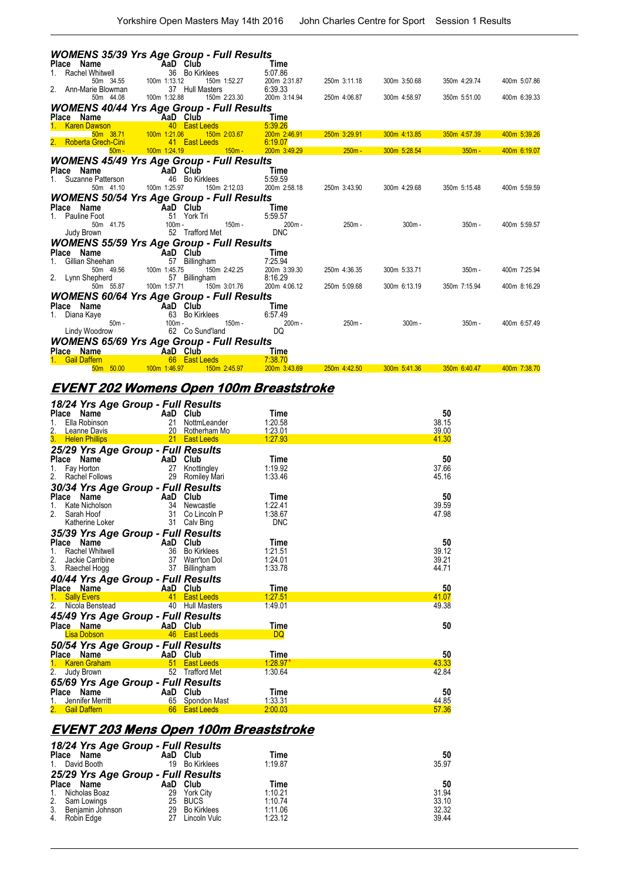|                                | <b>WOMENS 35/39 Yrs Age Group - Full Results</b>             |                         |              |              |              |              |
|--------------------------------|--------------------------------------------------------------|-------------------------|--------------|--------------|--------------|--------------|
| Place Name                     | AaD Club                                                     | Time                    |              |              |              |              |
| <b>Rachel Whitwell</b>         | 36<br><b>Bo Kirklees</b>                                     | 5:07.86                 |              |              |              |              |
| 50m 34.55<br>Ann-Marie Blowman | 100m 1:13.12<br>150m 1:52.27<br>37 Hull Masters              | 200m 2:31.87<br>6:39.33 | 250m 3:11.18 | 300m 3:50.68 | 350m 4:29.74 | 400m 5:07.86 |
| 50m 44.08                      | 100m 1:32.88<br>150m 2:23.30                                 | 200m 3:14.94            | 250m 4:06.87 | 300m 4:58.97 | 350m 5:51.00 | 400m 6:39.33 |
|                                |                                                              |                         |              |              |              |              |
| Place Name                     | <b>WOMENS 40/44 Yrs Age Group - Full Results</b><br>AaD Club | <b>Time</b>             |              |              |              |              |
| <b>Karen Dawson</b>            | 40<br><b>East Leeds</b>                                      | 5:39.26                 |              |              |              |              |
| 50m 38.71                      | 100m 1:21.06<br>150m 2:03.67                                 | 200m 2:46.91            | 250m 3:29.91 | 300m 4:13.85 | 350m 4:57.39 | 400m 5:39.26 |
| <b>Roberta Grech-Cini</b>      | 41 East Leeds                                                | 6:19.07                 |              |              |              |              |
| $50m -$                        | 100m 1:24.19<br>$150m -$                                     | 200m 3:49.29            | $250m -$     | 300m 5:28.54 | $350m -$     | 400m 6:19.07 |
|                                | <b>WOMENS 45/49 Yrs Age Group - Full Results</b>             |                         |              |              |              |              |
| Place Name                     | AaD Club                                                     | Time                    |              |              |              |              |
| Suzanne Patterson              | 46 Bo Kirklees                                               | 5:59.59                 |              |              |              |              |
| 50m 41.10                      | 150m 2:12.03<br>100m 1:25.97                                 | 200m 2:58.18            | 250m 3:43.90 | 300m 4:29.68 | 350m 5:15.48 | 400m 5:59.59 |
|                                | <b>WOMENS 50/54 Yrs Age Group - Full Results</b>             |                         |              |              |              |              |
| Place Name                     | AaD Club                                                     | Time                    |              |              |              |              |
| Pauline Foot                   | 51 York Tri                                                  | 5:59.57                 |              |              |              |              |
| 50m 41.75                      | $100m -$<br>$150m -$<br>52 Trafford Met                      | $200m -$<br><b>DNC</b>  | $250m -$     | $300m -$     | $350m -$     | 400m 5:59.57 |
| Judy Brown                     |                                                              |                         |              |              |              |              |
|                                | <b>WOMENS 55/59 Yrs Age Group - Full Results</b>             |                         |              |              |              |              |
| Place Name                     | AaD Club                                                     | Time                    |              |              |              |              |
| Gillian Sheehan<br>50m 49.56   | 57<br>Billingham<br>100m 1:45.75<br>150m 2:42.25             | 7:25.94<br>200m 3:39.30 | 250m 4:36.35 | 300m 5:33.71 | $350m -$     | 400m 7:25.94 |
| 2. Lynn Shepherd               | 57 Billingham                                                | 8:16.29                 |              |              |              |              |
| 50m 55.87                      | 150m 3:01.76<br>100m 1:57.71                                 | 200m 4:06.12            | 250m 5:09.68 | 300m 6:13.19 | 350m 7:15.94 | 400m 8:16.29 |
|                                | <b>WOMENS 60/64 Yrs Age Group - Full Results</b>             |                         |              |              |              |              |
| Place Name                     | AaD Club                                                     | Time                    |              |              |              |              |
| Diana Kaye                     | 63 Bo Kirklees                                               | 6:57.49                 |              |              |              |              |
| $50m -$                        | $100m -$<br>$150m -$                                         | $200m -$                | 250m -       | $300m -$     | $350m -$     | 400m 6:57.49 |
| Lindy Woodrow                  | 62 Co Sund'land                                              | DQ                      |              |              |              |              |
|                                | <b>WOMENS 65/69 Yrs Age Group - Full Results</b>             |                         |              |              |              |              |
| Place Name                     | AaD Club                                                     | <b>Time</b>             |              |              |              |              |
| <b>Gail Daffern</b>            | 66<br><b>East Leeds</b>                                      | 7:38.70                 |              |              |              |              |
| 50.00<br>50 <sub>m</sub>       | 100m 1:46.97<br>150m 2:45.97                                 | 200m 3:43.69            | 250m 4:42.50 | 300m 5:41.36 | 350m 6:40.47 | 400m 7:38.70 |

# **EVENT 202 Womens Open 100m Breaststroke**

| 18/24 Yrs Age Group - Full Results |                                                      |                       |                |
|------------------------------------|------------------------------------------------------|-----------------------|----------------|
| Name<br><b>Place</b>               | AaD Club                                             | Time                  | 50             |
| Ella Robinson<br>1.                | 21<br>NottmLeander                                   | 1:20.58               | 38.15          |
| 2.<br>Leanne Davis                 | 20<br>Rotherham Mo                                   | 1:23.01               | 39.00          |
| 3.<br><b>Helen Phillips</b>        | 21<br><b>East Leeds</b>                              | 1:27.93               | 41.30          |
| 25/29 Yrs Age Group - Full Results |                                                      |                       |                |
| Place<br>Name                      | AaD Club                                             | Time                  | 50             |
| 1.<br>Fay Horton                   | 27<br>Knottingley                                    | 1:19.92               | 37.66          |
| 2.<br><b>Rachel Follows</b>        | 29<br>Romiley Mari                                   | 1:33.46               | 45.16          |
| 30/34 Yrs Age Group - Full Results |                                                      |                       |                |
| Place<br>Name                      | AaD Club                                             | Time                  | 50             |
| 1.<br>Kate Nicholson               | 34<br>Newcastle                                      | 1:22.41               | 39.59          |
| 2.<br>Sarah Hoof                   | 31<br>Co Lincoln P                                   | 1:38.67               | 47.98          |
| Katherine Loker                    | 31<br>Calv Bing                                      | <b>DNC</b>            |                |
| 35/39 Yrs Age Group - Full Results |                                                      |                       |                |
| Place<br>Name                      | AaD Club                                             | Time                  | 50             |
| 1.<br><b>Rachel Whitwell</b>       | 36<br><b>Bo Kirklees</b>                             | 1:21.51               | 39.12          |
| 2.<br>Jackie Carribine             | 37<br>Warr'ton Dol                                   | 1:24.01               | 39.21          |
| 3. Raechel Hogg                    | 37<br>Billingham                                     | 1:33.78               | 44.71          |
| 40/44 Yrs Age Group - Full Results |                                                      |                       |                |
| Place Name                         | AaD Club                                             | Time                  | 50             |
| <b>Sally Evers</b>                 | <b>East Leeds</b><br>41                              | 1:27.51               | 41.07          |
| 2.<br>Nicola Benstead              | 40<br><b>Hull Masters</b>                            | 1:49.01               | 49.38          |
| 45/49 Yrs Age Group - Full Results |                                                      |                       |                |
| Place Name                         | AaD Club                                             | Time                  | 50             |
| <b>Lisa Dobson</b>                 | <b>East Leeds</b><br>46                              | <b>DQ</b>             |                |
|                                    |                                                      |                       |                |
| 50/54 Yrs Age Group - Full Results |                                                      |                       |                |
| Place<br>Name                      | AaD Club                                             | Time                  | 50             |
| <b>Karen Graham</b>                | <b>East Leeds</b><br>51<br>52<br><b>Trafford Met</b> | $1:28.97*$<br>1:30.64 | 43.33<br>42.84 |
| Judy Brown                         |                                                      |                       |                |
| 65/69 Yrs Age Group - Full Results |                                                      |                       |                |
| Place<br>Name                      | AaD Club                                             | Time                  | 50             |
| Jennifer Merritt                   | 65<br>Spondon Mast                                   | 1:33.31               | 44.85          |
| <b>Gail Daffern</b>                | 66<br><b>East Leeds</b>                              | 2:00.03               | 57.36          |

## **EVENT 203 Mens Open 100m Breaststroke**

| Place<br>Name<br>1. David Booth                                                                  | 18/24 Yrs Age Group - Full Results                   | AaD Club<br>19 Bo Kirklees                                                    | Time<br>1:19.87                                  | 50<br>35.97                            |
|--------------------------------------------------------------------------------------------------|------------------------------------------------------|-------------------------------------------------------------------------------|--------------------------------------------------|----------------------------------------|
| Place Name<br>Nicholas Boaz<br>$1_{1}$<br>2. Sam Lowings<br>3. Benjamin Johnson<br>4. Robin Edge | 25/29 Yrs Age Group - Full Results<br>29<br>25<br>27 | AaD Club<br><b>York City</b><br><b>BUCS</b><br>29 Bo Kirklees<br>Lincoln Vulc | Time<br>1:10.21<br>1:10.74<br>1:11.06<br>1:23.12 | 50<br>31.94<br>33.10<br>32.32<br>39.44 |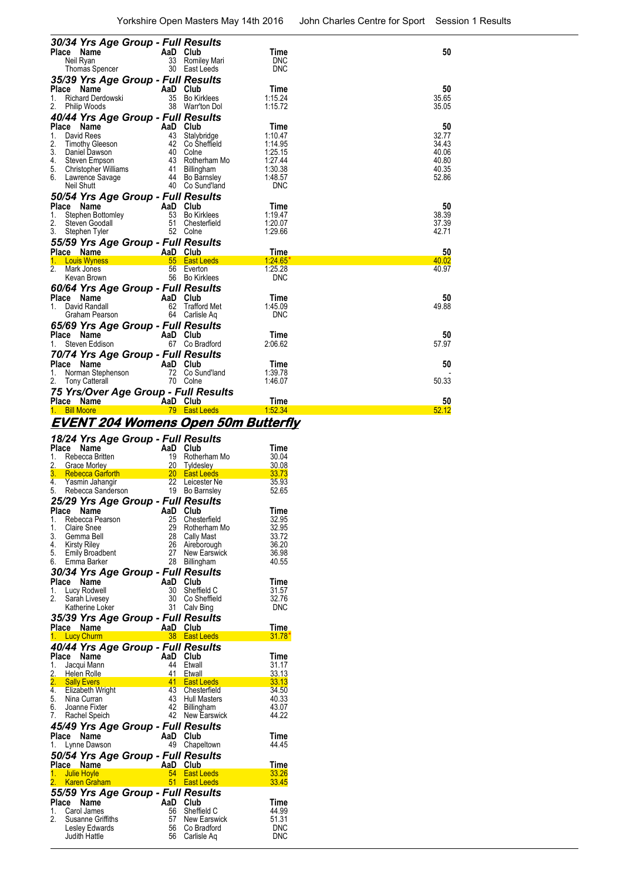| 30/34 Yrs Age Group - Full Results                     |                               |             |                |
|--------------------------------------------------------|-------------------------------|-------------|----------------|
| Place Name                                             | AaD Club                      | Time        | 50             |
| Neil Ryan                                              | 33<br>Romiley Mari            | <b>DNC</b>  |                |
| Thomas Spencer                                         | 30<br>East Leeds              | <b>DNC</b>  |                |
| 35/39 Yrs Age Group - Full Results                     |                               |             |                |
| Place<br>Name                                          | AaD<br>Club                   | Time        | 50             |
| <b>Richard Derdowski</b><br>1.                         | 35<br><b>Bo Kirklees</b>      | 1:15.24     | 35.65          |
| Philip Woods                                           | 38<br>Warr'ton Dol            | 1:15.72     | 35.05          |
| 40/44 Yrs Age Group - Full Results                     |                               |             |                |
| Place<br>Name                                          | AaD<br>Club                   | Time        | 50             |
| David Rees<br>1.                                       | 43<br>Stalybridge             | 1:10.47     | 32.77          |
| 2.<br><b>Timothy Gleeson</b>                           | 42<br>Co Sheffield            | 1:14.95     | 34.43          |
| 3.<br>Daniel Dawson                                    | 40<br>Colne                   | 1:25.15     | 40.06          |
| 4.<br>Steven Empson                                    | 43<br>Rotherham Mo            | 1.27.44     | 40.80          |
| 5.<br><b>Christopher Williams</b>                      | 41<br>Billingham              | 1:30.38     | 40.35          |
| 6.<br>Lawrence Savage                                  | 44<br>Bo Barnsley             | 1:48.57     | 52.86          |
| Neil Shutt                                             | 40<br>Co Sund'land            | <b>DNC</b>  |                |
| 50/54 Yrs Age Group - Full Results                     |                               |             |                |
| Place<br>Name                                          | AaD<br>Club                   | Time        | 50             |
| 1.<br>Stephen Bottomley                                | 53<br><b>Bo Kirklees</b>      | 1:19.47     | 38.39          |
| 2.<br>Steven Goodall                                   | 51<br>Chesterfield            | 1:20.07     | 37.39          |
| 3.<br>Stephen Tyler                                    | 52<br>Colne                   | 1:29.66     | 42.71          |
|                                                        |                               |             |                |
| 55/59 Yrs Age Group - Full Results                     |                               |             |                |
| Place Name                                             | AaD<br>Club                   | <b>Time</b> | 50             |
| <b>Louis Wyness</b>                                    | 55<br><b>East Leeds</b><br>56 | 1:24.65'    | 40.02<br>40.97 |
| Mark Jones                                             | Everton                       | 1:25.28     |                |
| Kevan Brown                                            | 56<br><b>Bo Kirklees</b>      | <b>DNC</b>  |                |
| 60/64 Yrs Age Group - Full Results                     |                               |             |                |
| Place Name                                             | AaD<br>Club                   | Time        | 50             |
| David Randall<br>1.                                    | 62<br><b>Trafford Met</b>     | 1:45.09     | 49.88          |
| Graham Pearson                                         | Carlisle Ag<br>64             | <b>DNC</b>  |                |
| 65/69 Yrs Age Group - Full Results                     |                               |             |                |
| Place<br>Name                                          | AaD<br>Club                   | Time        | 50             |
| Steven Eddison<br>1.                                   | 67<br>Co Bradford             | 2:06.62     | 57.97          |
|                                                        |                               |             |                |
| 70/74 Yrs Age Group - Full Results<br>Place Name       | Club                          | Time        | 50             |
|                                                        | AaD<br>Co Sund'land<br>72     | 1:39.78     |                |
| Norman Stephenson<br>1.<br>2.<br><b>Tony Catterall</b> | 70<br>Colne                   | 1:46.07     | 50.33          |
|                                                        |                               |             |                |
| 75 Yrs/Over Age Group - Full Results                   |                               |             |                |
| Place Name                                             | AaD Club                      | Time        | 50             |
| <b>Bill Moore</b><br>1.                                | 79<br><b>East Leeds</b>       | 1:52.34     | 52.12          |

#### **EVENT 204 Womens Open 50m Butterfly**

|          |       |                                                         | 18/24 Yrs Age Group - Full Results                    |                             |                          |
|----------|-------|---------------------------------------------------------|-------------------------------------------------------|-----------------------------|--------------------------|
|          | Place | Name                                                    |                                                       | AaD Club                    | Time                     |
| 1.       |       | Rebecca Britten                                         | 19                                                    | Rotherham Mo                | 30.04                    |
|          |       |                                                         |                                                       |                             | 30.08                    |
|          |       |                                                         |                                                       |                             | $\frac{33.73}{25.02}$    |
|          |       |                                                         |                                                       |                             | 35.93<br>52.65           |
|          |       |                                                         |                                                       | Bo Barnsley                 |                          |
|          |       |                                                         | 25/29 Yrs Age Group - Full Results                    |                             |                          |
|          | Place | Name<br>1. Rebecca Pearson                              | 25                                                    | AaD Club<br>Chesterfield    | Time<br>32.95            |
| 1.       |       | <b>Claire Snee</b>                                      | 29                                                    | Rotherham Mo                | 32.95                    |
|          |       | 3. Gemma Bell                                           | 28                                                    | Cally Mast                  | 33.72                    |
|          |       |                                                         | 26                                                    | Aireborough                 | 36.20                    |
|          |       | 4. Kirsty Riley<br>5. Emily Broadbent                   | $rac{20}{27}$                                         | New Earswick                | 36.98                    |
|          |       | 6. Emma Barker                                          | 28                                                    | Billingham                  | 40.55                    |
|          |       |                                                         | 30/34 Yrs Age Group - Full Results                    |                             |                          |
|          |       | Place Name                                              | AaD Club<br>30 Sheffi<br>30 Co Sh<br>31 Calv E        |                             | <b>Time</b>              |
|          |       | 1. Lucy Rodwell                                         |                                                       | Sheffield C                 | 31.57                    |
| 2.       |       | Sarah Livesey                                           |                                                       | Co Sheffield                | 32.76                    |
|          |       | Katherine Loker                                         | 31                                                    | Calv Bing                   | <b>DNC</b>               |
|          |       |                                                         | 35/39 Yrs Age Group - Full Results                    |                             |                          |
|          |       | 1. Lucy Churm                                           | Place Name <b>AaD Club</b><br>1. Lucy Churm 38 East L | 38 East Leeds               | <b>Time</b><br>31.78     |
|          |       |                                                         |                                                       |                             |                          |
|          |       |                                                         |                                                       |                             |                          |
|          |       |                                                         | 40/44 Yrs Age Group - Full Results                    |                             |                          |
|          |       | Place Name                                              |                                                       | AaD Club                    | Time                     |
| 1.       |       | Jacqui Mann                                             | 44                                                    | Etwall                      | 31.17                    |
|          |       | 2. Helen Rolle                                          | 41                                                    | Etwall                      | 33.13                    |
|          |       |                                                         |                                                       | Chesterfield                | 33.13<br>34.50           |
|          |       | 2. Sally Evers<br>4. Elizabeth Wright<br>5. Nina Curran | Entertainment 11 East Leeds<br>13 Chesterfield<br>43  | <b>Hull Masters</b>         | 40.33                    |
|          |       | 6. Joanne Fixter                                        | 42                                                    | Billingham                  | 43.07                    |
| 7.       |       | Rachel Speich                                           | 42                                                    | <b>New Earswick</b>         | 44.22                    |
|          |       |                                                         | 45/49 Yrs Age Group - Full Results                    |                             |                          |
| Place    |       | Name                                                    | AaD Club                                              |                             | <b>Time</b>              |
|          |       | 1. Lynne Dawson                                         |                                                       | 49 Chapeltown               | 44.45                    |
|          |       |                                                         | 50/54 Yrs Age Group - Full Results                    |                             |                          |
|          |       | Place Name                                              |                                                       | AaD Club                    | Time                     |
|          |       | 1. Julie Hoyle                                          |                                                       | 54 East Leeds               | 33.26                    |
|          |       | 2. Karen Graham                                         |                                                       | $51$ East Leeds             | 33.45                    |
|          |       |                                                         | 55/59 Yrs Age Group - Full Results                    |                             |                          |
| Place    |       | Name                                                    |                                                       | AaD Club                    | Time                     |
| 1.<br>2. |       | Carol James<br>Susanne Griffiths                        | 56<br>57                                              | Sheffield C<br>New Earswick | 44.99<br>51.31           |
|          |       | Lesley Edwards                                          | 56<br>56                                              | Co Bradford                 | <b>DNC</b><br><b>DNC</b> |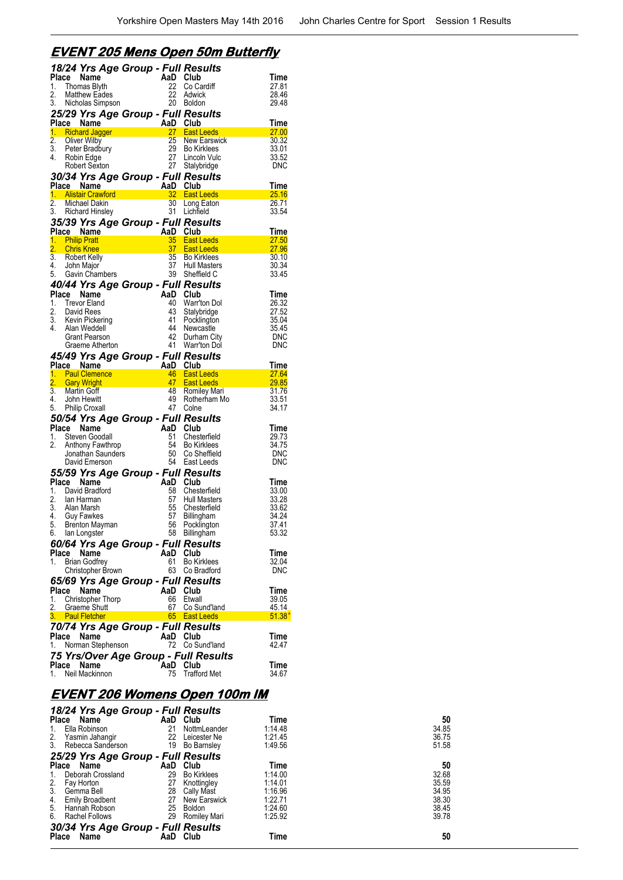#### **EVENT 205 Mens Open 50m Butterfly**

|                        |       | 18/24 Yrs Age Group - Full Results               |                       |                                              |                    |
|------------------------|-------|--------------------------------------------------|-----------------------|----------------------------------------------|--------------------|
| Place                  |       | Name                                             | AaD Club              |                                              | Time               |
| 1.                     |       | Thomas Blyth                                     | 22                    | Co Cardiff                                   | 27.81              |
| 2.                     |       | <b>Matthew Eades</b>                             | 22                    | Adwick                                       | 28.46              |
| 3.                     |       | Nicholas Simpson                                 | 20                    | <b>Boldon</b>                                | 29.48              |
|                        |       | 25/29 Yrs Age Group - Full Results               |                       |                                              |                    |
|                        |       | Place Name                                       | AaD Club              |                                              | Time               |
| $\overline{2}$ .       |       | 1. Richard Jagger<br><b>Oliver Wilby</b>         | 27<br>25              | <b>East Leeds</b><br>New Earswick            | 27.00<br>30.32     |
| 3.                     |       | Peter Bradbury                                   | 29                    | <b>Bo Kirklees</b>                           | 33.01              |
| 4.                     |       | Robin Edge                                       | 27                    | Lincoln Vulc                                 | 33.52              |
|                        |       | Robert Sexton                                    | 27                    | Stalybridge                                  | <b>DNC</b>         |
|                        |       | 30/34 Yrs Age Group - Full Results               |                       |                                              |                    |
|                        |       | Place Name                                       | AaD Club              |                                              | Time               |
|                        |       | 1. Alistair Crawford                             | $32 -$                | <b>East Leeds</b>                            | 25.16              |
| $\overline{2}$ .       |       | <b>Michael Dakin</b>                             | $30-1$                | Long Eaton                                   | 26.71              |
| 3.                     |       | <b>Richard Hinsley</b>                           | 31                    | Lichtield                                    | 33.54              |
|                        |       | 35/39 Yrs Age Group - Full Results               |                       |                                              |                    |
|                        |       | Place Name                                       | AaD Club              |                                              | Time               |
| 1.<br>$\overline{2}$ . |       | <b>Philip Pratt</b><br><b>Chris Knee</b>         | 35<br>37 <sup>5</sup> | <b>East Leeds</b><br><b>East Leeds</b>       | 27.50<br>27.96     |
| 3.                     |       | Robert Kelly                                     | 35 <sub>5</sub>       | <b>Bo Kirklees</b>                           | 30.10              |
| 4.                     |       | John Major                                       | 37                    | <b>Hull Masters</b>                          | 30.34              |
| 5.                     |       | Gavin Chambers                                   | 39                    | Sheffield C                                  | 33.45              |
|                        |       | 40/44 Yrs Age Group - Full Results               |                       |                                              |                    |
| Place                  |       | Name                                             | AaD Club              |                                              | Time               |
| 1.                     |       | <b>Trevor Eland</b>                              | 40                    | Warr'ton Dol                                 | 26.32              |
| 2.                     |       | David Rees                                       | 43                    | Stalybridge                                  | 27.52              |
| 3.                     |       | Kevin Pickering                                  | 41                    | Pocklington                                  | 35.04              |
| 4.                     |       | Alan Weddell                                     | 44                    | Newcastle                                    | 35.45              |
|                        |       | Grant Pearson<br>Graeme Atherton                 | 42<br>41              | Durham City<br>Warr'ton Dol                  | <b>DNC</b><br>DNC  |
|                        |       |                                                  |                       |                                              |                    |
|                        |       | 45/49 Yrs Age Group - Full Results<br>Place Name | AaD                   | Club                                         | Time               |
|                        |       |                                                  |                       |                                              |                    |
|                        |       |                                                  |                       |                                              |                    |
|                        |       | 1. Paul Clemence                                 | 46                    | <b>East Leeds</b>                            | 27.64              |
| $\overline{2}$ .<br>3. |       | <b>Gary Wright</b><br>Martin Goff                | 48                    | 47 East Leeds                                | 29.85<br>31.76     |
| 4.                     |       | John Hewitt                                      | 49                    | <b>Romiley Mari</b><br>Rotherham Mo          | 33.51              |
| 5.                     |       | <b>Philip Croxall</b>                            | 47                    | Colne                                        | 34.17              |
|                        |       | 50/54 Yrs Age Group - Full Results               |                       |                                              |                    |
| Place                  |       | Name                                             | AaD                   | Club                                         | Time               |
| 1.                     |       | Steven Goodall                                   | 51                    | Chesterfield                                 | 29.73              |
| 2.                     |       | Anthony Fawthrop                                 | 54                    | <b>Bo Kirklees</b>                           | 34.75              |
|                        |       | Jonathan Saunders                                | 50                    | Co Sheffield                                 | <b>DNC</b>         |
|                        |       | David Emerson                                    | 54                    | East Leeds                                   | DNC                |
|                        |       | 55/59 Yrs Age Group - Full Results               |                       |                                              |                    |
| Place                  |       | Name                                             | AaD Club              |                                              | Time               |
| 1.<br>2.               |       | David Bradford<br>lan Harman                     | 58<br>57              | Chesterfield<br>Hull Masters                 | 33.00<br>33.28     |
| 3.                     |       | Alan Marsh                                       | 55                    | Chesterfield                                 | 33.62              |
| 4.                     |       | Guy Fawkes                                       | 57                    | Billingham                                   | 34.24              |
| 5.                     |       | Brenton Mayman                                   | 56                    | Pocklington                                  | 37.41              |
|                        |       | 6. Ian Longster                                  |                       | 58 Billingham                                | 53.32              |
|                        |       | 60/64 Yrs Age Group - Full Results               |                       |                                              |                    |
| Place                  |       | Name                                             | AaD                   | Club                                         | Time               |
| 1.                     |       | <b>Brian Godfrey</b>                             | 61                    | <b>Bo Kirklees</b>                           | 32.04              |
|                        |       | Christopher Brown                                | 63                    | Co Bradford                                  | DNC                |
|                        |       | 65/69 Yrs Age Group - Full Results               |                       |                                              |                    |
| Place                  |       | Name                                             | AaD                   | Club                                         | Time               |
| 1.                     |       | Christopher Thorp                                | 66<br>67              | Etwall<br>Co Sund'land                       | 39.05              |
| 2.                     |       | Graeme Shutt<br>3. Paul Fletcher                 |                       | 65 East Leeds                                | 45.14<br>$51.38^*$ |
|                        |       |                                                  |                       |                                              |                    |
| Place                  |       | 70/74 Yrs Age Group - Full Results<br>Name       | AaD                   | Club                                         | Time               |
| 1.                     |       | Norman Stephenson                                | 72                    | Co Sund'land                                 | 42.47              |
|                        |       |                                                  |                       |                                              |                    |
|                        | Place | Name                                             | AaD                   | 75 Yrs/Over Age Group - Full Results<br>Club | Time               |

## **EVENT 206 Womens Open 100m IM**

| 18/24 Yrs Age Group - Full Results |                          |         |       |
|------------------------------------|--------------------------|---------|-------|
| <b>Place</b><br>Name               | AaD Club                 | Time    | 50    |
| Ella Robinson<br>1.                | 21<br>NottmLeander       | 1:14.48 | 34.85 |
| 2.<br>Yasmin Jahangir              | 22<br>Leicester Ne       | 1:21.45 | 36.75 |
| 3.<br>Rebecca Sanderson            | 19<br><b>Bo Barnsley</b> | 1:49.56 | 51.58 |
| 25/29 Yrs Age Group - Full Results |                          |         |       |
| AaD<br><b>Place</b><br>Name        | Club                     | Time    | 50    |
| Deborah Crossland<br>1.            | 29<br><b>Bo Kirklees</b> | 1:14.00 | 32.68 |
| 2.<br>Fay Horton                   | 27<br>Knottingley        | 1:14.01 | 35.59 |
| 3 <sub>1</sub><br>Gemma Bell       | Cally Mast<br>28         | 1:16.96 | 34.95 |
| 4.<br><b>Emily Broadbent</b>       | 27<br>New Earswick       | 1:22.71 | 38.30 |
| 5. Hannah Robson                   | Boldon<br>25             | 1:24.60 | 38.45 |
| 6.<br>Rachel Follows               | 29<br>Romiley Mari       | 1:25.92 | 39.78 |
| 30/34 Yrs Age Group - Full Results |                          |         |       |
| Name<br><b>Place</b>               | AaD Club                 | Time    | 50    |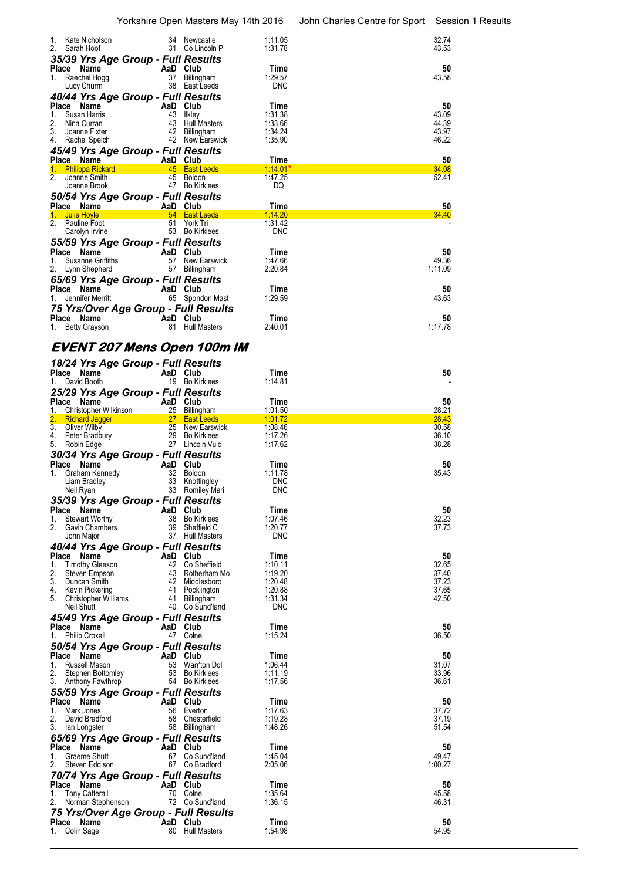| 1.<br>Kate Nicholson<br>2.<br>Sarah Hoof               | 34<br>Newcastle<br>31 Co Lincoln P      | 1:11.05<br>1.31.78       | 32.74<br>43.53   |
|--------------------------------------------------------|-----------------------------------------|--------------------------|------------------|
| 35/39 Yrs Age Group - Full Results                     |                                         |                          |                  |
| Place Name                                             | AaD Club                                | Time                     | 50               |
| Raechel Hogg<br>1.<br>Lucy Churm                       | 37 Billingham<br>38 East Leeds          | 1:29.57<br><b>DNC</b>    | 43.58            |
| 40/44 Yrs Age Group - Full Results                     |                                         |                          |                  |
| Place Name                                             | AaD Club                                | Time                     | 50               |
| 1.<br>Susan Harris<br>2.<br>Nina Curran                | 43 Ilkley<br>43 Hull Masters            | 1:31.38<br>1:33.66       | 43.09<br>44.39   |
| 3.<br>Joanne Fixter                                    | 42 Billingham                           | 1:34.24                  | 43.97            |
| 4.<br>Rachel Speich                                    | 42 New Earswick                         | 1:35.90                  | 46.22            |
| 45/49 Yrs Age Group - Full Results<br>Place Name       | AaD Club                                | Time                     | 50               |
| <b>Philippa Rickard</b><br>1.                          | 45 East Leeds                           | <u>1:14.01</u>           | 34.08            |
| 2.<br>Joanne Smith                                     | 45<br>Boldon                            | 1:47.25                  | 52.41            |
| Joanne Brook<br>50/54 Yrs Age Group - Full Results     | 47 Bo Kirklees                          | DQ                       |                  |
| Place Name                                             | AaD Club                                | Time                     | 50               |
| <b>Julie Hoyle</b><br>1.                               | 54 East Leeds                           | <u>1:14.20</u>           | <b>34.40</b>     |
| 2. Pauline Foot<br>Carolyn Irvine                      | 51<br>York Tri<br>53 Bo Kirklees        | 1:31.42<br><b>DNC</b>    |                  |
| 55/59 Yrs Age Group - Full Results                     |                                         |                          |                  |
| Place Name<br>Susanne Griffiths                        | AaD Club<br>57 New Earswick             | Time                     | 50               |
| 1.<br>2.<br>Lynn Shepherd                              | 57 Billingham                           | 1:47.66<br>2:20.84       | 49.36<br>1:11.09 |
| 65/69 Yrs Age Group - Full Results                     |                                         |                          |                  |
| Place Name<br>Jennifer Merritt                         | AaD Club<br>65 Spondon Mast             | Time<br>1:29.59          | 50<br>43.63      |
| 1.<br>75 Yrs/Over Age Group - Full Results             |                                         |                          |                  |
| Place Name                                             | AaD Club                                | Time                     | 50               |
| 1. Betty Grayson                                       | 81 Hull Masters                         | 2:40.01                  | 1:17.78          |
| <u>EVENT 207 Mens Open 100m IM</u>                     |                                         |                          |                  |
| 18/24 Yrs Age Group - Full Results                     |                                         |                          |                  |
| Place Name                                             | AaD Club                                | Time                     | 50               |
| David Booth<br>1.                                      | 19 Bo Kirklees                          | 1:14.81                  |                  |
| 25/29 Yrs Age Group - Full Results<br>Place Name       | AaD Club                                | Time                     | 50               |
| 1.<br>Christopher Wilkinson                            | 25 Billingham                           | 1:01.50                  | 28.21            |
| <b>Richard Jagger</b><br>3. Oliver Wilby               | 27 East Leeds<br>25 New Earswick        | 1:01.72<br>1:08.46       | 28.43<br>30.58   |
| 4.<br>Peter Bradbury                                   | 29 Bo Kirklees                          | 1.17.26                  | 36.10            |
| 5.<br>Robin Edge                                       | 27 Lincoln Vulc                         | 1:17.62                  | 38.28            |
| 30/34 Yrs Age Group - Full Results<br>Place Name       | AaD Club                                | Time                     | 50               |
| 1.<br>Graham Kennedy                                   | 32 Boldon                               | 1:11.78                  | 35.43            |
| Liam Bradley<br>Neil Ryan                              | 33<br>Knottingley<br>33<br>Romiley Mari | <b>DNC</b><br><b>DNC</b> |                  |
| 35/39 Yrs Age Group - Full Results                     |                                         |                          |                  |
| Place Name                                             | AaD Club                                | Time                     | 50               |
| <b>Stewart Worthy</b><br>1.<br>2.<br>Gavin Chambers    | 38 Bo Kirklees<br>39<br>Sheffield C     | 1:07.46<br>1:20.77       | 32.23<br>37.73   |
| John Major                                             | 37 Hull Masters                         | <b>DNC</b>               |                  |
| 40/44 Yrs Age Group - Full Results                     |                                         |                          |                  |
| Place Name<br><b>Timothy Gleeson</b><br>1.             | AaD Club<br>42 Co Sheffield             | Time<br>1:10.11          | 50<br>32.65      |
| 2.<br>Steven Empson                                    | 43 Rotherham Mo                         | 1:19.20                  | 37.40            |
| 3.<br>Duncan Smith<br>4.<br>Kevin Pickering            | 42 Middlesboro<br>41 Pocklington        | 1.20.48<br>1.20.88       | 37.23<br>37.65   |
| 5.<br>Christopher Williams                             | 41 Billingham                           | 1:31.34                  | 42.50            |
| Neil Shutt                                             | 40 Co Sund'land                         | <b>DNC</b>               |                  |
| 45/49 Yrs Age Group - Full Results<br>Place Name       | AaD Club                                | Time                     | 50               |
| <b>Philip Croxall</b><br>1.                            | 47 Colne                                | 1:15.24                  | 36.50            |
| 50/54 Yrs Age Group - Full Results                     |                                         |                          |                  |
| Place Name<br>Russell Mason<br>1.                      | AaD Club<br>53<br>Warr'ton Dol          | Time<br>1:06.44          | 50<br>31.07      |
| 2.<br>Stephen Bottomley                                | 53 Bo Kirklees                          | 1:11.19                  | 33.96            |
| 3.<br>Anthony Fawthrop                                 | 54 Bo Kirklees                          | 1:17.56                  | 36.61            |
| 55/59 Yrs Age Group - Full Results<br>Place Name       | AaD Club                                | Time                     | 50               |
| 1.<br>Mark Jones                                       | 56 Everton                              | 1:17.63                  | 37.72            |
| 2.<br>David Bradford<br>3.<br>lan Longster             | 58 Chesterfield<br>58 Billingham        | 1:19.28<br>1:48.26       | 37.19<br>51.54   |
| 65/69 Yrs Age Group - Full Results                     |                                         |                          |                  |
| Place Name                                             | AaD Club                                | Time                     | 50               |
| 1.<br>Graeme Shutt<br>2.<br>Steven Eddison             | 67 Co Sund'land<br>67 Co Bradford       | 1:45.04<br>2:05.06       | 49.47<br>1:00.27 |
| 70/74 Yrs Age Group - Full Results                     |                                         |                          |                  |
| Place Name                                             | AaD Club                                | Time                     | 50               |
| 1.<br><b>Tony Catterall</b><br>Norman Stephenson<br>2. | 70 Colne<br>72 Co Sund'land             | 1:35.64<br>1:36.15       | 45.58<br>46.31   |
| 75 Yrs/Over Age Group - Full Results                   |                                         |                          |                  |
| Place Name                                             | AaD Club                                | Time                     | 50               |
| Colin Sage<br>1.                                       | 80 Hull Masters                         | 1:54.98                  | 54.95            |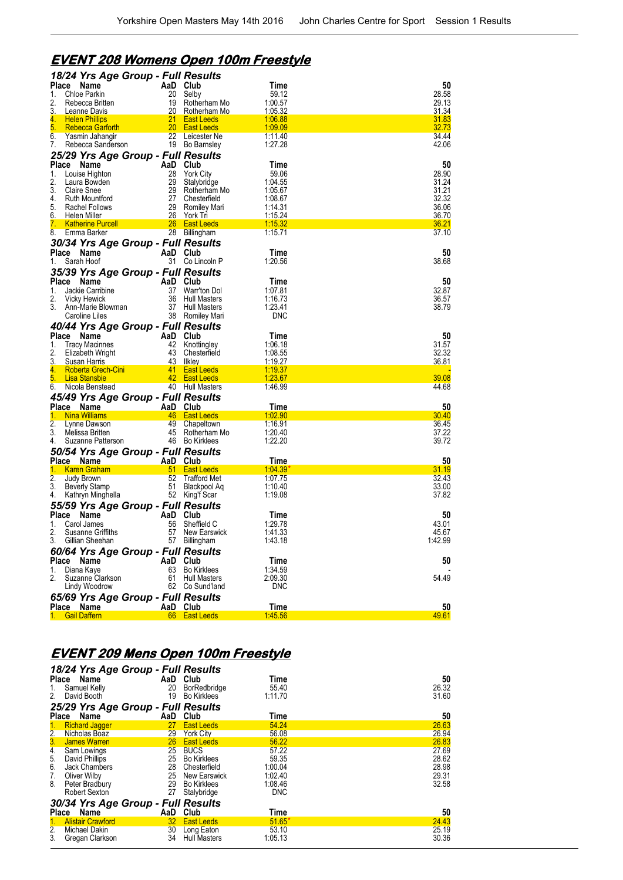## **EVENT 208 Womens Open 100m Freestyle**

| 18/24 Yrs Age Group - Full Results                     |           |                                      |                    |                       |
|--------------------------------------------------------|-----------|--------------------------------------|--------------------|-----------------------|
| Place<br>Name                                          | AaD Club  |                                      | Time               | 50                    |
| <b>Chloe Parkin</b><br>1.                              | 20        | Selby                                | 59.12              | 28.58                 |
| 2.<br>Rebecca Britten                                  | 19        | Rotherham Mo                         | 1:00.57            | 29.13                 |
| 3.<br>Leanne Davis                                     | 20        | Rotherham Mo                         | 1:05.32            | 31.34                 |
| 4.<br><b>Helen Phillips</b>                            | 21<br>20  | <b>East Leeds</b>                    | 1:06.88            | <u>31.83</u><br>32.73 |
| 5.<br><b>Rebecca Gartorth</b><br>6.<br>Yasmin Jahangir |           | <b>East Leeds</b><br>22 Leicester Ne | 1:09.09<br>1:11.40 | 34.44                 |
| 7.<br>Rebecca Sanderson                                |           | 19 Bo Barnsley                       | 1:27.28            | 42.06                 |
| 25/29 Yrs Age Group - Full Results                     |           |                                      |                    |                       |
| Place                                                  | AaD       | Club                                 | Time               | 50                    |
| Name<br>Louise Highton<br>1.                           | 28        | <b>York City</b>                     | 59.06              | 28.90                 |
| 2.<br>Laura Bowden                                     | 29        | Stalybridge                          | 1:04.55            | 31.24                 |
| 3.<br><b>Claire Snee</b>                               | 29        | Rotherham Mo                         | 1:05.67            | 31.21                 |
| 4.<br>Ruth Mountford                                   | 27        | Chesterfield                         | 1:08.67            | 32.32                 |
| 5.<br>Rachel Follows                                   | 29        | Romiley Mari                         | 1:14.31            | 36.06                 |
| 6.<br>Helen Miller                                     | 26        | York Tri                             | 1:15.24            | 36.70                 |
| 7.<br><b>Katherine Purcell</b>                         | 26        | <b>East Leeds</b>                    | <u>1:15.32</u>     | <u>36.21</u>          |
| 8.<br>Emma Barker                                      |           | 28 Billingham                        | 1:15.71            | 37.10                 |
| 30/34 Yrs Age Group - Full Results                     |           |                                      |                    |                       |
| Place<br>Name                                          | AaD Club  |                                      | Time               | 50                    |
| Sarah Hoof<br>1.                                       | 31        | Co Lincoln P                         | 1:20.56            | 38.68                 |
| 35/39 Yrs Age Group - Full Results                     |           |                                      |                    |                       |
| Place<br>Name                                          | AaD       | Club                                 | Time               | 50                    |
| Jackie Carribine<br>1.                                 | 37        | Warr'ton Dol                         | 1:07.81            | 32.87                 |
| 2.<br><b>Vicky Hewick</b>                              | 36        | <b>Hull Masters</b>                  | 1:16.73            | 36.57                 |
| 3.<br>Ann-Marie Blowman                                | 37        | <b>Hull Masters</b>                  | 1:23.41            | 38.79                 |
| Caroline Liles                                         |           | 38 Romiley Mari                      | DNC                |                       |
| 40/44 Yrs Age Group - Full Results                     |           |                                      |                    |                       |
| <b>Place</b><br>Name                                   | AaD Club  |                                      | Time               | 50                    |
| 1.<br><b>Tracy Macinnes</b>                            | 42        | Knottingley                          | 1:06.18            | 31.57                 |
| 2.<br>Elizabeth Wright                                 | 43        | Chesterfield                         | 1:08.55            | 32.32                 |
| 3.<br><b>Susan Harris</b>                              | 43        | <b>Ilkley</b>                        | 1:19.27            | 36.81                 |
| 4.<br><b>Roberta Grech-Cini</b>                        | 41        | <b>East Leeds</b>                    | <u>1:19.37</u>     |                       |
| 5.<br><b>Lisa Stansbie</b>                             | 42        | <b>East Leeds</b>                    | 1:23.67            | 39.08                 |
| 6.<br>Nicola Benstead                                  |           | 40 Hull Masters                      | 1:46.99            | 44.68                 |
| 45/49 Yrs Age Group - Full Results                     |           |                                      |                    |                       |
| Place Name                                             | AaD Club  |                                      | Time               | 50                    |
| <b>Nina Williams</b><br>1.                             | 46        | <b>East Leeds</b>                    | <u>1:02.90</u>     | 30.40                 |
| 2.<br>Lynne Dawson                                     | 49        | Chapeltown                           | 1:16.91            | 36.45                 |
| 3.<br>Melissa Britten<br>4.                            | 45        | Rotherham Mo<br>46 Bo Kirklees       | 1:20.40<br>1:22.20 | 37.22<br>39.72        |
| Suzanne Patterson                                      |           |                                      |                    |                       |
| 50/54 Yrs Age Group - Full Results                     |           |                                      |                    |                       |
| Place Name                                             | AaD Club  |                                      | Time               | 50                    |
| 1.<br><b>Karen Graham</b><br>2.<br>Judy Brown          | 51<br>52  | <b>East Leeds</b><br>Trafford Met    | 1.04.39<br>1:07.75 | 31.19<br>32.43        |
| 3.<br><b>Beverly Stamp</b>                             | 51        | Blackpool Aq                         | 1:10.40            | 33.00                 |
| 4.<br>Kathryn Minghella                                | 52        | King'f Scar                          | 1:19.08            | 37.82                 |
| 55/59 Yrs Age Group - Full Results                     |           |                                      |                    |                       |
| Name                                                   |           |                                      |                    |                       |
| Place<br>Carol James<br>1.                             | AaD<br>56 | Club<br>Sheffield C                  | Time<br>1:29.78    | 50<br>43.01           |
| 2.<br><b>Susanne Griffiths</b>                         | 57        | New Earswick                         | 1:41.33            | 45.67                 |
| 3. Gillian Sheehan                                     |           | 57 Billingham                        | 1:43.18            | 1:42.99               |
|                                                        |           |                                      |                    |                       |
| 60/64 Yrs Age Group - Full Results                     | AaD Club  |                                      |                    |                       |
| Place<br>Name<br>1.<br>Diana Kaye                      |           | 63 Bo Kirklees                       | Time<br>1:34.59    | 50                    |
| 2.<br>Suzanne Clarkson                                 |           | 61 Hull Masters                      | 2:09.30            | 54.49                 |
| Lindy Woodrow                                          |           | 62 Co Sund'land                      | <b>DNC</b>         |                       |
| 65/69 Yrs Age Group - Full Results                     |           |                                      |                    |                       |
| Place Name                                             | AaD Club  |                                      | Time               | 50                    |
| 1. Gail Daffern                                        |           | 66 East Leeds                        | 1:45.56            | 49.61                 |
|                                                        |           |                                      |                    |                       |

## **EVENT 209 Mens Open 100m Freestyle**

| 1.<br>2.       | 18/24 Yrs Age Group - Full Results<br>Place<br>Name<br>Samuel Kelly<br>David Booth | 20<br>19        | AaD Club<br>BorRedbridge<br>Bo Kirklees | Time<br>55.40<br>1:11.70 | $\frac{50}{26.32}$<br>31.60 |
|----------------|------------------------------------------------------------------------------------|-----------------|-----------------------------------------|--------------------------|-----------------------------|
|                | 25/29 Yrs Age Group - Full Results<br>Place Name                                   | AaD             | Club                                    | Time                     | 50                          |
|                | 1. Richard Jagger                                                                  | 27              | <b>East Leeds</b>                       | 54.24                    | 26.63                       |
| 2.             | Nicholas Boaz                                                                      | 29              | <b>York City</b>                        | 56.08                    | 26.94                       |
| 3 <sub>1</sub> | <b>James Warren</b>                                                                | 26 <sup>2</sup> | <b>East Leeds</b>                       | 56.22                    | 26.83                       |
| 4.             | Sam Lowings                                                                        | 25              | <b>BUCS</b>                             | 57.22                    | 27.69                       |
| 5.             | David Phillips                                                                     | 25              | Bo Kirklees                             | 59.35                    | 28.62                       |
| 6.             | Jack Chambers                                                                      | 28              | Chesterfield                            | 1:00.04                  | 28.98                       |
| 7.             | Oliver Wilby                                                                       |                 | 25 New Earswick                         | 1:02.40                  | 29.31                       |
| 8.             | Peter Bradbury                                                                     |                 | 29 Bo Kirklees                          | 1:08.46                  | 32.58                       |
|                | Robert Sexton                                                                      | 27              | Stalybridge                             | <b>DNC</b>               |                             |
|                | 30/34 Yrs Age Group - Full Results                                                 |                 |                                         |                          |                             |
|                | Place Name                                                                         | AaD             | Club                                    | Time                     | 50                          |
| 1.             | <b>Alistair Crawford</b>                                                           |                 | 32 East Leeds                           | $51.65*$                 | 24.43                       |
| 2.             | Michael Dakin                                                                      | 30              | Long Eaton                              | 53.10                    | 25.19                       |
| 3.             | Gregan Clarkson                                                                    | 34              | <b>Hull Masters</b>                     | 1:05.13                  | 30.36                       |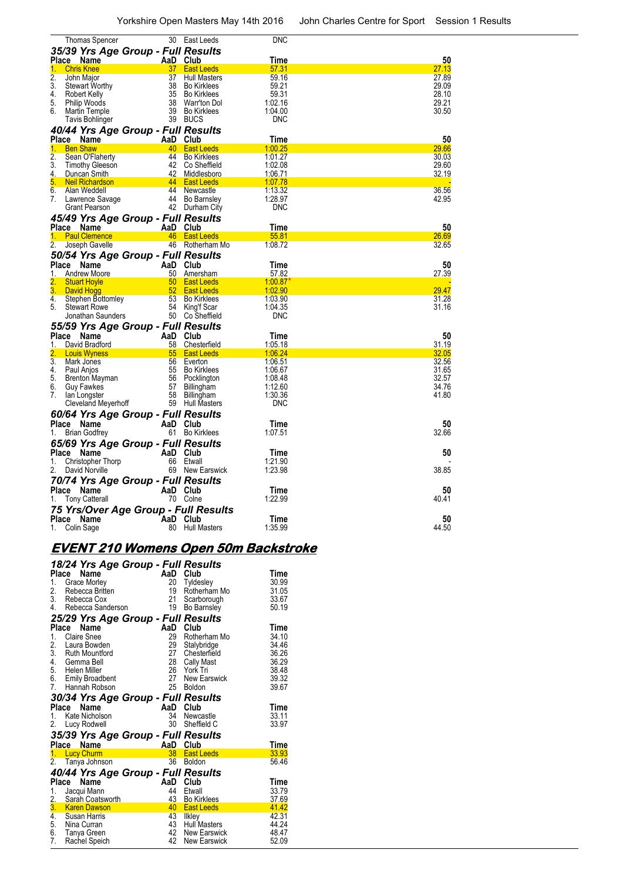| <b>Thomas Spencer</b>                                |                 | 30 East Leeds                     | DNC                |                |
|------------------------------------------------------|-----------------|-----------------------------------|--------------------|----------------|
| 35/39 Yrs Age Group - Full Results                   |                 |                                   |                    |                |
| Place Name                                           |                 | AaD Club                          | Time               | 50             |
| 1.<br><b>Chris Knee</b>                              | 37              | <b>East Leeds</b>                 | 57.31              | 27.13          |
| $\overline{2}$ .<br>John Major                       | 37              | Hull Masters                      | 59.16              | 27.89          |
| 3.<br><b>Stewart Worthy</b>                          | 38              | <b>Bo Kirklees</b>                | 59.21              | 29.09          |
| 4.<br>Robert Kelly                                   | 35              | Bo Kirklees                       | 59.31              | 28.10          |
| 5.<br>Philip Woods                                   |                 | 38 Warr'ton Dol                   | 1:02.16            | 29.21          |
| 6.<br>Martin Temple                                  | 39              | Bo Kirklees                       | 1:04.00            | 30.50          |
| Tavis Bohlinger                                      |                 | 39 BUCS                           | <b>DNC</b>         |                |
| 40/44 Yrs Age Group - Full Results                   |                 |                                   |                    |                |
| Place Name                                           |                 | AaD Club                          | Time               | 50             |
| <b>Ben Shaw</b><br>1.<br>2.<br>Sean O'Flaherty       |                 | 40 East Leeds<br>44 Bo Kirklees   | 1:00.25<br>1:01.27 | 29.66<br>30.03 |
| 3.<br><b>Timothy Gleeson</b>                         |                 | 42 Co Sheffield                   | 1:02.08            | 29.60          |
| 4.<br>Duncan Smith                                   | 42              | <b>Middlesboro</b>                | 1:06.71            | 32.19          |
| 5.<br><b>Neil Richardson</b>                         |                 | 44 East Leeds                     | 1:07.78            |                |
| 6.<br>Alan Weddell                                   |                 | 44 Newcastle                      | 1:13.32            | 36.56          |
| 7.<br>Lawrence Savage                                |                 | 44 Bo Barnsley                    | 1:28.97            | 42.95          |
| <b>Grant Pearson</b>                                 |                 | 42 Durham City                    | <b>DNC</b>         |                |
| 45/49 Yrs Age Group - Full Results                   |                 |                                   |                    |                |
| Place Name                                           |                 | AaD Club                          | <b>Time</b>        | 50             |
| <b>Paul Clemence</b><br>1.                           |                 | 46 East Leeds                     | 55.81              | 26.69          |
| 2.<br>Joseph Gavelle                                 |                 | 46 Rotherham Mo                   | 1:08.72            | 32.65          |
| 50/54 Yrs Age Group - Full Results                   |                 |                                   |                    |                |
| Place Name                                           |                 | AaD Club                          | Time               | 50             |
| Andrew Moore<br>1.                                   | 50              | Amersham                          | 57.82              | 27.39          |
| 2.<br><b>Stuart Hoyle</b>                            | 50              | <b>East Leeds</b>                 | 1:00.87            |                |
| 3.<br>David Hogg                                     | 52 <sub>2</sub> | <b>East Leeds</b>                 | 1:02.90            | 29.47          |
| 4.<br>Stephen Bottomley<br>5.<br><b>Stewart Rowe</b> | 53              | <b>Bo Kirklees</b>                | 1:03.90<br>1:04.35 | 31.28<br>31.16 |
| Jonathan Saunders                                    |                 | 54 King'f Scar<br>50 Co Sheffield | <b>DNC</b>         |                |
|                                                      |                 |                                   |                    |                |
| 55/59 Yrs Age Group - Full Results                   |                 |                                   |                    |                |
| Place Name<br>David Bradford<br>1.                   | AaD<br>58       | Club<br>Chesterfield              | Time<br>1:05.18    | 50<br>31.19    |
| 2.<br><b>Louis Wyness</b>                            | 55              | <b>East Leeds</b>                 | 1:06.24            | 32.05          |
| $\overline{3}$ .<br>Mark Jones                       |                 | 56 Everton                        | 1:06.51            | 32.56          |
| 4.<br>Paul Anjos                                     |                 | 55 Bo Kirklees                    | 1:06.67            | 31.65          |
| 5.<br>Brenton Mayman                                 |                 | 56 Pocklington                    | 1:08.48            | 32.57          |
| 6.<br><b>Guy Fawkes</b>                              | 57              | Billingham                        | 1:12.60            | 34.76          |
| 7.<br>lan Longster                                   |                 | 58 Billingham                     | 1:30.36            | 41.80          |
| Cleveland Meyerhoff                                  |                 | 59 Hull Masters                   | <b>DNC</b>         |                |
| 60/64 Yrs Age Group - Full Results                   |                 |                                   |                    |                |
| Place Name                                           |                 | AaD Club                          | Time               | 50             |
| <b>Brian Godfrey</b><br>1.                           |                 | 61 Bo Kirklees                    | 1:07.51            | 32.66          |
| 65/69 Yrs Age Group - Full Results                   |                 |                                   |                    |                |
| Place Name                                           |                 | AaD Club                          | Time               | 50             |
| 1.<br><b>Christopher Thorp</b>                       |                 | 66 Etwall                         | 1:21.90            |                |
| 2.<br>David Norville                                 |                 | 69 New Earswick                   | 1:23.98            | 38.85          |
| 70/74 Yrs Age Group - Full Results                   |                 |                                   |                    |                |
| Place Name                                           |                 | AaD Club                          | Time               | 50             |
| <b>Tony Catterall</b><br>1.                          |                 | 70 Colne                          | 1:22.99            | 40.41          |
| 75 Yrs/Over Age Group - Full Results                 |                 |                                   |                    |                |
| Place Name                                           |                 | AaD Club                          | Time               | 50             |
| Colin Sage<br>1.                                     |                 | 80 Hull Masters                   | 1:35.99            | 44.50          |

# **EVENT 210 Womens Open 50m Backstroke**

|                        | 18/24 Yrs Age Group - Full Results          |          |                                  |                |
|------------------------|---------------------------------------------|----------|----------------------------------|----------------|
| Place                  | Name                                        | AaD Club |                                  | Time           |
| 1.                     | Grace Morley                                | 20       | Tyldesley                        | 30.99          |
| 2.                     | Rebecca Britten                             |          | 19 Rotherham Mo                  | 31.05          |
|                        | 3. Rebecca Cox                              |          | 21 Scarborough                   | 33.67          |
| 4.                     | Rebecca Sanderson                           | 19       | <b>Bo Barnsley</b>               | 50.19          |
|                        | 25/29 Yrs Age Group - Full Results          |          |                                  |                |
| Place                  | Name                                        | AaD      | Club                             | Time           |
| 1.                     | Claire Snee                                 | 29       | Rotherham Mo                     | 34.10          |
| 2.                     | Laura Bowden                                | 29       | Stalybridge                      | 34.46          |
| 3.                     | <b>Ruth Mountford</b>                       | 27       | Chesterfield                     | 36.26          |
| 4.                     | Gemma Bell                                  |          | 28 Cally Mast                    | 36.29          |
|                        | 5. Helen Miller                             |          | 26 York Tri                      | 38.48          |
|                        | 6. Emily Broadbent                          | 27       | <b>New Earswick</b>              | 39.32          |
| 7.                     | Hannah Robson                               | 25       | <b>Boldon</b>                    | 39.67          |
|                        | 30/34 Yrs Age Group - Full Results          |          |                                  |                |
|                        | Name<br>Place                               | AaD Club |                                  | Time           |
| 1.                     | Kate Nicholson                              | 34       | Newcastle                        | 33.11          |
| 2.                     | Lucy Rodwell                                | 30       | Sheffield C                      | 33.97          |
|                        | 35/39 Yrs Age Group - Full Results          |          |                                  |                |
| Place                  | Name                                        | AaD      | Club                             | Time           |
| 1.                     | <b>Lucy Churm</b>                           |          | 38 East Leeds                    | 33.93          |
| 2.                     | Tanya Johnson                               |          | 36 Boldon                        | 56.46          |
|                        |                                             |          |                                  |                |
|                        |                                             |          |                                  |                |
|                        | 40/44 Yrs Age Group - Full Results          |          |                                  |                |
|                        | Place<br>Name                               | 44       | AaD Club                         | Time           |
| 1.                     | Jacqui Mann                                 | 43       | Etwall<br><b>Bo Kirklees</b>     | 33.79          |
| 2.                     | Sarah Coatsworth<br><b>Karen Dawson</b>     | 40       | <b>East Leeds</b>                | 37.69<br>41.42 |
| 3.<br>$\overline{4}$ . | Susan Harris                                |          |                                  | 42.31          |
| 5.                     |                                             | 43       | 43 Ilkley<br><b>Hull Masters</b> | 44.24          |
| 6.<br>7.               | Nina Curran<br>Tanya Green<br>Rachel Speich | 42       | 42 New Earswick                  | 48.47<br>52.09 |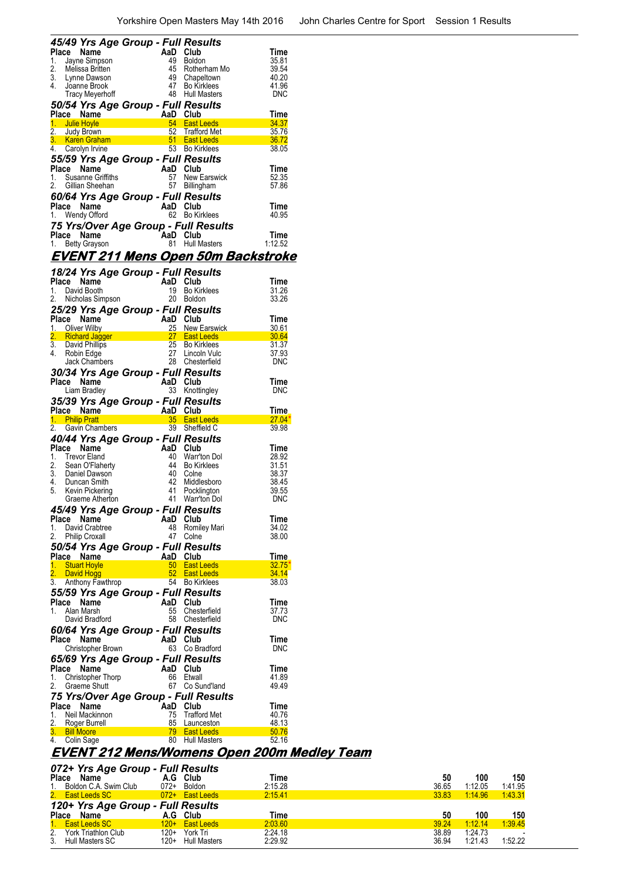| Place    | 45/49 Yrs Age Group - Full Results<br>Name                                            |                   | AaD Club |                                           | Time           |
|----------|---------------------------------------------------------------------------------------|-------------------|----------|-------------------------------------------|----------------|
| 1.       | Jayne Simpson                                                                         | in<br>Salah       | 49       | <b>Boldon</b>                             | 35.81          |
| 2.       | Melissa Britten                                                                       |                   |          | 45 Rotherham Mo                           | 39.54          |
| 3.       | Lynne Dawson                                                                          |                   |          | 49 Chapeltown                             | 40.20          |
| 4.       | Joanne Brook                                                                          |                   |          | 47 Bo Kirklees                            | 41.96          |
|          | <b>Tracy Meyerhoff</b>                                                                |                   |          | 48 Hull Masters                           | DNC            |
|          | 50/54 Yrs Age Group - Full Results                                                    |                   |          |                                           |                |
|          |                                                                                       |                   |          |                                           | Time           |
|          | Place Name<br>1. Julie Hoyle <b>Contract Contract Ave</b> 54 East L<br>1. Julie Hoyle |                   |          | 54 East Leeds                             | 34.37          |
|          |                                                                                       |                   |          | 52 Trafford Met                           | 35.76          |
|          |                                                                                       |                   |          |                                           | 36.72          |
| 4.       | Carolyn Irvine                                                                        |                   |          | 53 Bo Kirklees                            | 38.05          |
|          | 55/59 Yrs Age Group - Full Results                                                    |                   |          |                                           |                |
|          | Place Name                                                                            |                   | AaD Club |                                           | Time           |
|          | 1. Susanne Griffiths                                                                  |                   |          | 57 New Earswick                           | 52.35          |
| 2.       | Gillian Sheehan                                                                       |                   |          | 57 Billingham                             | 57.86          |
|          | 60/64 Yrs Age Group - Full Results                                                    |                   |          |                                           |                |
|          | Place Name                                                                            |                   | AaD Club |                                           | Time           |
|          | 1. Wendy Offord                                                                       |                   |          | 62 Bo Kirklees                            | 40.95          |
|          |                                                                                       |                   |          | 75 Yrs/Over Age Group - Full Results      |                |
| Place    | Name                                                                                  |                   | AaD      | Club                                      | Time           |
|          | 1. Betty Grayson                                                                      |                   | 81       | <b>Hull Masters</b>                       | 1:12.52        |
|          |                                                                                       |                   |          |                                           |                |
|          |                                                                                       |                   |          | <u>EVENT 211 Mens Open 50m Backstroke</u> |                |
|          | 18/24 Yrs Age Group - Full Results                                                    |                   |          |                                           |                |
|          | Place Name                                                                            |                   | AaD Club |                                           | Time           |
| 1.       | David Booth                                                                           |                   | 19       | <b>Bo Kirklees</b>                        | 31.26          |
| 2.       | Nicholas Simpson                                                                      |                   | 20       | Boldon                                    | 33.26          |
|          | 25/29 Yrs Age Group - Full Results                                                    |                   |          |                                           |                |
|          | Place Name                                                                            |                   | AaD Club |                                           | Time           |
|          | 1. Oliver Wilby                                                                       |                   |          | 25 New Earswick                           | 30.61          |
| 2.       | <b>Richard Jagger</b>                                                                 |                   |          | 27 East Leeds                             | 30.64          |
|          | 3. David Phillips                                                                     |                   |          | 25 Bo Kirklees                            | 31.37          |
| 4.       | Robin Edge                                                                            |                   |          | 27 Lincoln Vulc                           | 37.93          |
|          | Jack Chambers                                                                         |                   |          | 28 Chesterfield                           | DNC            |
|          | 30/34 Yrs Age Group - Full Results                                                    |                   |          |                                           |                |
|          | Place Name                                                                            |                   |          |                                           | Time           |
|          |                                                                                       |                   | AaD Club |                                           |                |
|          | Liam Bradley                                                                          |                   |          | 33 Knottingley                            | <b>DNC</b>     |
|          |                                                                                       |                   |          |                                           |                |
|          | 35/39 Yrs Age Group - Full Results<br>Place Name                                      |                   | AaD      | Club                                      | <b>Time</b>    |
|          | 1. Philip Pratt                                                                       |                   |          | 35 East Leeds                             | $27.04*$       |
|          | 2. Gavin Chambers                                                                     | $\frac{3}{100}$ A |          | 39 Sheffield C                            | 39.98          |
|          |                                                                                       |                   |          |                                           |                |
| Place    | 40/44 Yrs Age Group - Full Results<br>Name                                            |                   | AaD Club |                                           | Time           |
| 1.       | <b>Trevor Eland</b>                                                                   |                   | 40       | Warr'ton Dol                              | 28.92          |
| 2.       | Sean O'Flaherty                                                                       |                   |          | 44 Bo Kirklees                            | 31.51          |
|          |                                                                                       | in.<br>D          |          | 40 Colne                                  | 38.37          |
|          | 3. Daniel Dawson<br>4. Duncan Smith                                                   |                   | 42       | Middlesboro                               | 38.45          |
|          | 5. Kevin Pickering                                                                    |                   | 41       | Pocklington                               | 39.55          |
|          | Graeme Atherton                                                                       |                   | 41       | Warr'ton Dol                              | <b>DNC</b>     |
|          | 45/49 Yrs Age Group - Full Results                                                    |                   |          |                                           |                |
| Place    | Name                                                                                  |                   | AaD      | Club                                      | Time           |
| 1.       | David Crabtree                                                                        |                   | 48       | Romiley Mari                              | 34.02          |
| 2.       | <b>Philip Croxall</b>                                                                 |                   | 47       | Colne                                     | 38.00          |
|          | 50/54 Yrs Age Group - Full Results                                                    |                   |          |                                           |                |
|          | Place Name                                                                            |                   | AaD      | Club                                      | <b>Time</b>    |
| 1.       | <b>Stuart Hoyle</b>                                                                   |                   | $50\,$   | <b>East Leeds</b>                         | 32.75'         |
| 2.       | David Hogg                                                                            |                   |          | 52 East Leeds                             | 34.14          |
| 3.       | Anthony Fawthrop                                                                      |                   | 54       | <b>Bo Kirklees</b>                        | 38.03          |
|          | 55/59 Yrs Age Group - Full Results                                                    |                   |          |                                           |                |
|          | Place Name                                                                            |                   | AaD Club |                                           | Time           |
| 1.       | Alan Marsh                                                                            |                   | 55       | Chesterfield                              | 37.73          |
|          | David Bradford                                                                        |                   | 58       | Chesterfield                              | <b>DNC</b>     |
|          | 60/64 Yrs Age Group - Full Results                                                    |                   |          |                                           |                |
|          | Place Name                                                                            |                   | AaD Club |                                           | Time           |
|          | Christopher Brown                                                                     |                   | 63       | Co Bradford                               | <b>DNC</b>     |
|          | 65/69 Yrs Age Group - Full Results                                                    |                   |          |                                           |                |
| Place    | Name                                                                                  |                   | AaD      | Club                                      | Time           |
| 1.       | Christopher Thorp                                                                     |                   | 66       | Etwall                                    | 41.89          |
| 2.       | <b>Graeme Shutt</b>                                                                   |                   | 67 -     | Co Sund'land                              | 49.49          |
|          |                                                                                       |                   |          | 75 Yrs/Over Age Group - Full Results      |                |
| Place    | Name                                                                                  |                   | AaD      | Club                                      | Time           |
| 1.       | Neil Mackinnon                                                                        |                   | 75       | <b>Trafford Met</b>                       | 40.76          |
| 2.       | Roger Burrell                                                                         |                   | 85       | Launceston                                | 48.13          |
| 3.<br>4. | <b>Bill Moore</b><br>Colin Sage                                                       |                   | 79<br>80 | <b>East Leeds</b><br>Hull Masters         | 50.76<br>52.16 |

#### **EVENT 212 Mens/Womens Open 200m Medley Team**

| 072+ Yrs Age Group - Full Results            |        |                   |         |       |         |         |  |  |
|----------------------------------------------|--------|-------------------|---------|-------|---------|---------|--|--|
| Place Name                                   |        | A.G Club          | Time    | 50    | 100     | 150     |  |  |
| 1. Boldon C.A. Swim Club                     | $072+$ | Boldon            | 2:15.28 | 36.65 | 1:12.05 | 1:41.95 |  |  |
| 2. East Leeds SC                             |        | 072+ East Leeds   | 2:15.41 | 33.83 | 1:14.96 | 1.43.31 |  |  |
| 120+ Yrs Age Group - Full Results            |        |                   |         |       |         |         |  |  |
|                                              |        |                   |         |       |         |         |  |  |
| Place Name                                   |        | A.G Club          | Time    | 50    | 100     | 150     |  |  |
| 1. East Leeds SC                             | $120+$ | <b>East Leeds</b> | 2:03.60 | 39.24 | 1:12.14 | 1:39.45 |  |  |
| 2. York Triathlon Club<br>3. Hull Masters SC | 120+   | York Tri          | 2.24.18 | 38.89 | 1:24.73 |         |  |  |